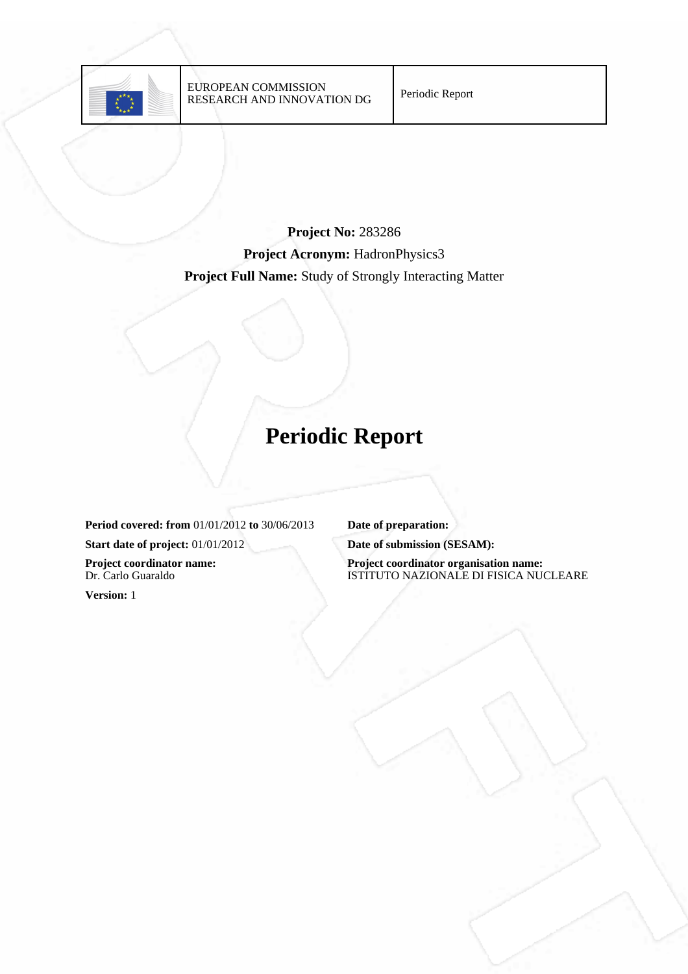

# **Project No:** 283286 **Project Acronym:** HadronPhysics3 **Project Full Name:** Study of Strongly Interacting Matter

# **Periodic Report**

**Period covered: from** 01/01/2012 **to** 30/06/2013 **Date of preparation: Start date of project:** 01/01/2012 **Date of submission (SESAM): Project coordinator name:** Dr. Carlo Guaraldo

**Version:** 1

**Project coordinator organisation name:** ISTITUTO NAZIONALE DI FISICA NUCLEARE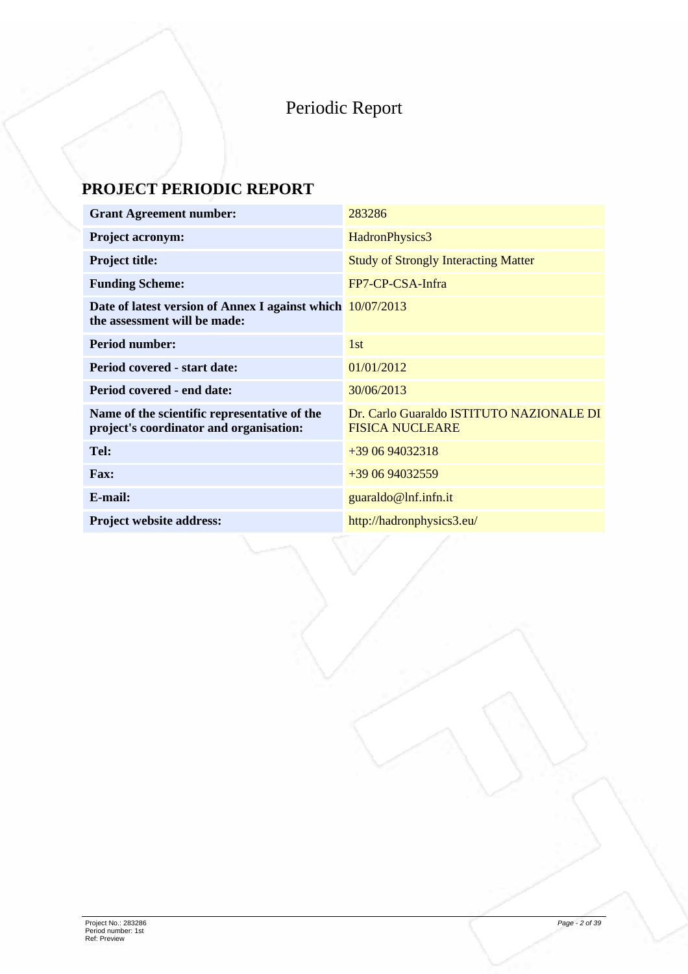# Periodic Report

# **PROJECT PERIODIC REPORT**

| <b>Grant Agreement number:</b>                                                             | 283286                                                             |
|--------------------------------------------------------------------------------------------|--------------------------------------------------------------------|
| <b>Project acronym:</b>                                                                    | HadronPhysics3                                                     |
| <b>Project title:</b>                                                                      | <b>Study of Strongly Interacting Matter</b>                        |
| <b>Funding Scheme:</b>                                                                     | FP7-CP-CSA-Infra                                                   |
| Date of latest version of Annex I against which 10/07/2013<br>the assessment will be made: |                                                                    |
| <b>Period number:</b>                                                                      | 1st                                                                |
| Period covered - start date:                                                               | 01/01/2012                                                         |
| Period covered - end date:                                                                 | 30/06/2013                                                         |
| Name of the scientific representative of the<br>project's coordinator and organisation:    | Dr. Carlo Guaraldo ISTITUTO NAZIONALE DI<br><b>FISICA NUCLEARE</b> |
| Tel:                                                                                       | +39 06 94032318                                                    |
| <b>Fax:</b>                                                                                | +39 06 94032559                                                    |
| E-mail:                                                                                    | guaraldo@lnf.infn.it                                               |
| <b>Project website address:</b>                                                            | http://hadronphysics3.eu/                                          |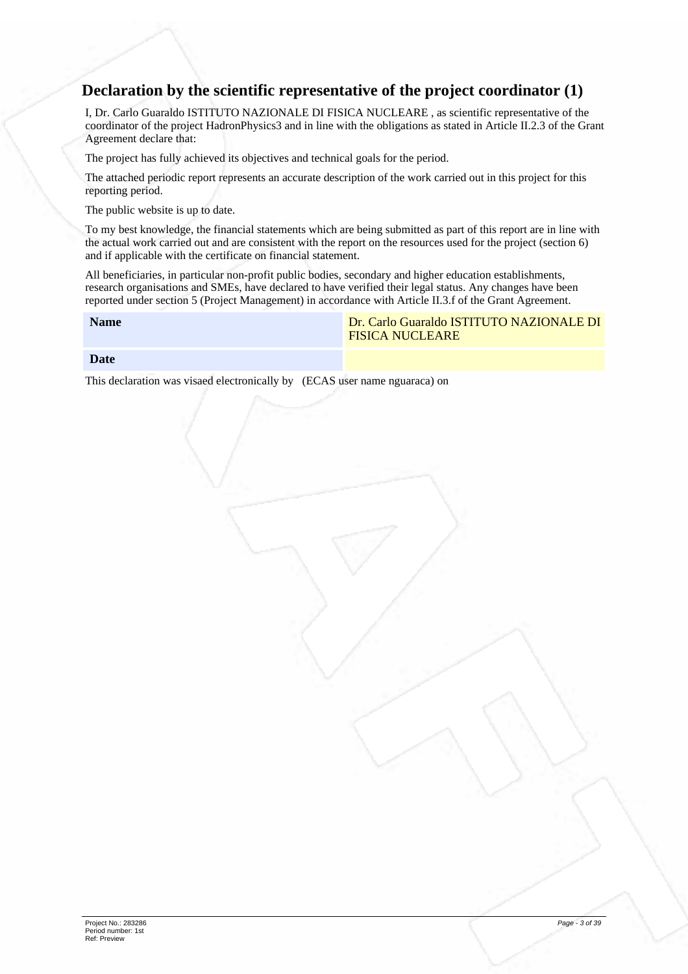## **Declaration by the scientific representative of the project coordinator (1)**

I, Dr. Carlo Guaraldo ISTITUTO NAZIONALE DI FISICA NUCLEARE , as scientific representative of the coordinator of the project HadronPhysics3 and in line with the obligations as stated in Article II.2.3 of the Grant Agreement declare that:

The project has fully achieved its objectives and technical goals for the period.

The attached periodic report represents an accurate description of the work carried out in this project for this reporting period.

The public website is up to date.

To my best knowledge, the financial statements which are being submitted as part of this report are in line with the actual work carried out and are consistent with the report on the resources used for the project (section 6) and if applicable with the certificate on financial statement.

All beneficiaries, in particular non-profit public bodies, secondary and higher education establishments, research organisations and SMEs, have declared to have verified their legal status. Any changes have been reported under section 5 (Project Management) in accordance with Article II.3.f of the Grant Agreement.

**Date**

This declaration was visaed electronically by (ECAS user name nguaraca) on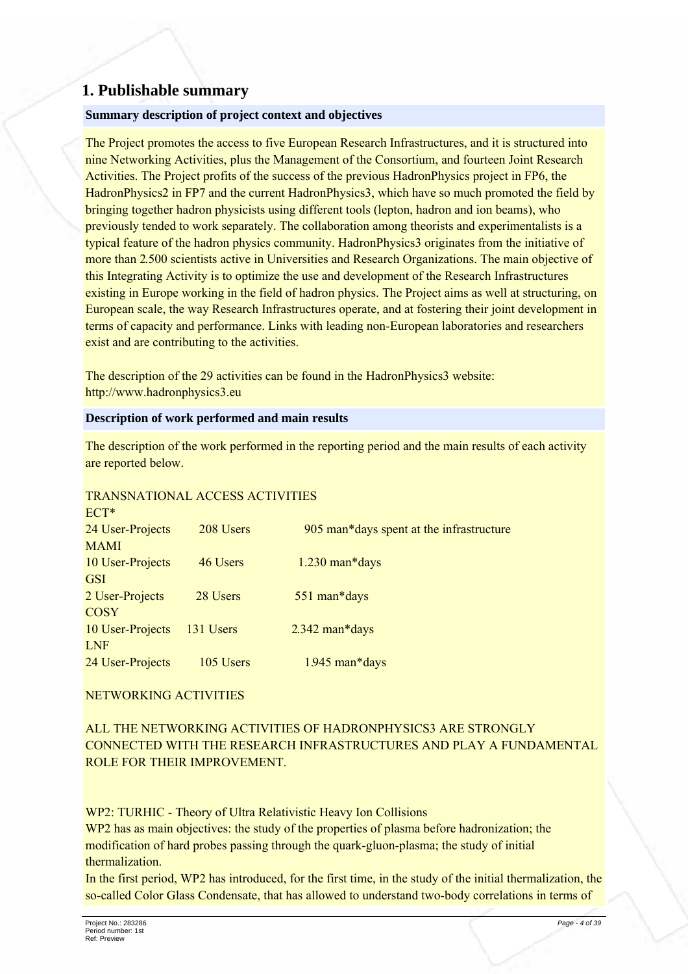## 1. Publishable summary

#### Summary description of project context and objectives

The Project promotes the access to five European Research Infrastructures, and it is structured into nine Networking Activities, plus the Management of the Consortium, and fourteen Joint Research Activities. The Project profits of the success of the previous Hadron Physics project in FP6, the HadronPhysics2 in FP7 and the current HadronPhysics3, which have so much promoted the field by bringing together hadron physicists using different tools (lepton, hadron and ion beams), who previously tended to work separately. The collaboration among theorists and experimentalists is a typical feature of the hadron physics community. HadronPhysics3 originates from the initiative of more than 2.500 scientists active in Universities and Research Organizations. The main objective of this Integrating Activity is to optimize the use and development of the Research Infrastructures existing in Europe working in the field of hadron physics. The Project aims as well at structuring, on European scale, the way Research Infrastructures operate, and at fostering their joint development in terms of capacity and performance. Links with leading non-European laboratories and researchers exist and are contributing to the activities.

The description of the 29 activities can be found in the Hadron Physics 3 website: http://www.hadronphysics3.eu

#### Description of work performed and main results

The description of the work performed in the reporting period and the main results of each activity are reported below.

## **TRANSNATIONAL ACCESS ACTIVITIES**

| $H \cup \uparrow$ |           |                                          |
|-------------------|-----------|------------------------------------------|
| 24 User-Projects  | 208 Users | 905 man*days spent at the infrastructure |
| <b>MAMI</b>       |           |                                          |
| 10 User-Projects  | 46 Users  | $1.230$ man*days                         |
| <b>GSI</b>        |           |                                          |
| 2 User-Projects   | 28 Users  | 551 man*days                             |
| <b>COSY</b>       |           |                                          |
| 10 User-Projects  | 131 Users | $2.342$ man*days                         |
| <b>LNF</b>        |           |                                          |
| 24 User-Projects  | 105 Users | 1.945 man*days                           |

## NETWORKING ACTIVITIES

ALL THE NETWORKING ACTIVITIES OF HADRONPHYSICS3 ARE STRONGLY CONNECTED WITH THE RESEARCH INFRASTRUCTURES AND PLAY A FUNDAMENTAL ROLE FOR THEIR IMPROVEMENT.

WP2: TURHIC - Theory of Ultra Relativistic Heavy Ion Collisions

WP2 has as main objectives: the study of the properties of plasma before hadronization; the modification of hard probes passing through the quark-gluon-plasma; the study of initial thermalization.

In the first period, WP2 has introduced, for the first time, in the study of the initial thermalization, the so-called Color Glass Condensate, that has allowed to understand two-body correlations in terms of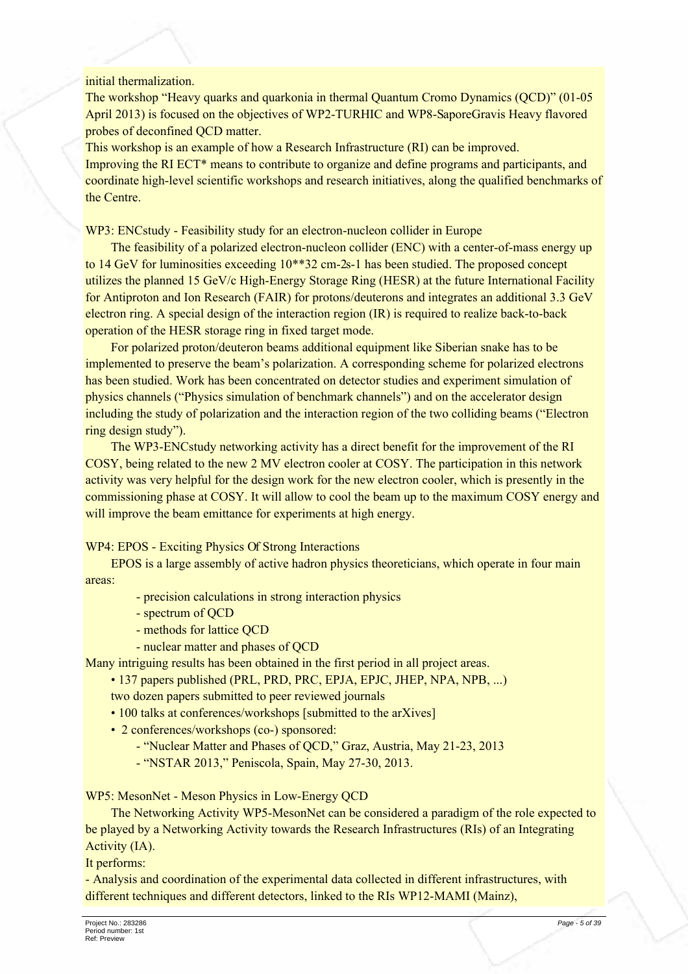#### initial thermalization.

The workshop "Heavy quarks and quarkonia in thermal Ouantum Cromo Dynamics (OCD)" (01-05 April 2013) is focused on the objectives of WP2-TURHIC and WP8-SaporeGravis Heavy flavored probes of deconfined QCD matter.

This workshop is an example of how a Research Infrastructure (RI) can be improved. Improving the RI ECT<sup>\*</sup> means to contribute to organize and define programs and participants, and coordinate high-level scientific workshops and research initiatives, along the qualified benchmarks of the Centre.

WP3: ENCstudy - Feasibility study for an electron-nucleon collider in Europe

The feasibility of a polarized electron-nucleon collider (ENC) with a center-of-mass energy up to 14 GeV for luminosities exceeding 10\*\*32 cm-2s-1 has been studied. The proposed concept utilizes the planned 15 GeV/c High-Energy Storage Ring (HESR) at the future International Facility for Antiproton and Ion Research (FAIR) for protons/deuterons and integrates an additional 3.3 GeV electron ring. A special design of the interaction region (IR) is required to realize back-to-back operation of the HESR storage ring in fixed target mode.

For polarized proton/deuteron beams additional equipment like Siberian snake has to be implemented to preserve the beam's polarization. A corresponding scheme for polarized electrons has been studied. Work has been concentrated on detector studies and experiment simulation of physics channels ("Physics simulation of benchmark channels") and on the accelerator design including the study of polarization and the interaction region of the two colliding beams ("Electron" ring design study").

The WP3-ENCstudy networking activity has a direct benefit for the improvement of the RI COSY, being related to the new 2 MV electron cooler at COSY. The participation in this network activity was very helpful for the design work for the new electron cooler, which is presently in the commissioning phase at COSY. It will allow to cool the beam up to the maximum COSY energy and will improve the beam emittance for experiments at high energy.

WP4: EPOS - Exciting Physics Of Strong Interactions

EPOS is a large assembly of active hadron physics theoreticians, which operate in four main areas:

- precision calculations in strong interaction physics
- spectrum of QCD
- methods for lattice OCD
- nuclear matter and phases of OCD

Many intriguing results has been obtained in the first period in all project areas.

• 137 papers published (PRL, PRD, PRC, EPJA, EPJC, JHEP, NPA, NPB, ...)

two dozen papers submitted to peer reviewed journals

- 100 talks at conferences/workshops [submitted to the arXives]
- 2 conferences/workshops (co-) sponsored:
	- "Nuclear Matter and Phases of QCD," Graz, Austria, May 21-23, 2013
	- "NSTAR 2013," Peniscola, Spain, May 27-30, 2013.

WP5: MesonNet - Meson Physics in Low-Energy OCD

The Networking Activity WP5-MesonNet can be considered a paradigm of the role expected to be played by a Networking Activity towards the Research Infrastructures (RIs) of an Integrating Activity (IA).

It performs:

- Analysis and coordination of the experimental data collected in different infrastructures, with different techniques and different detectors, linked to the RIs WP12-MAMI (Mainz),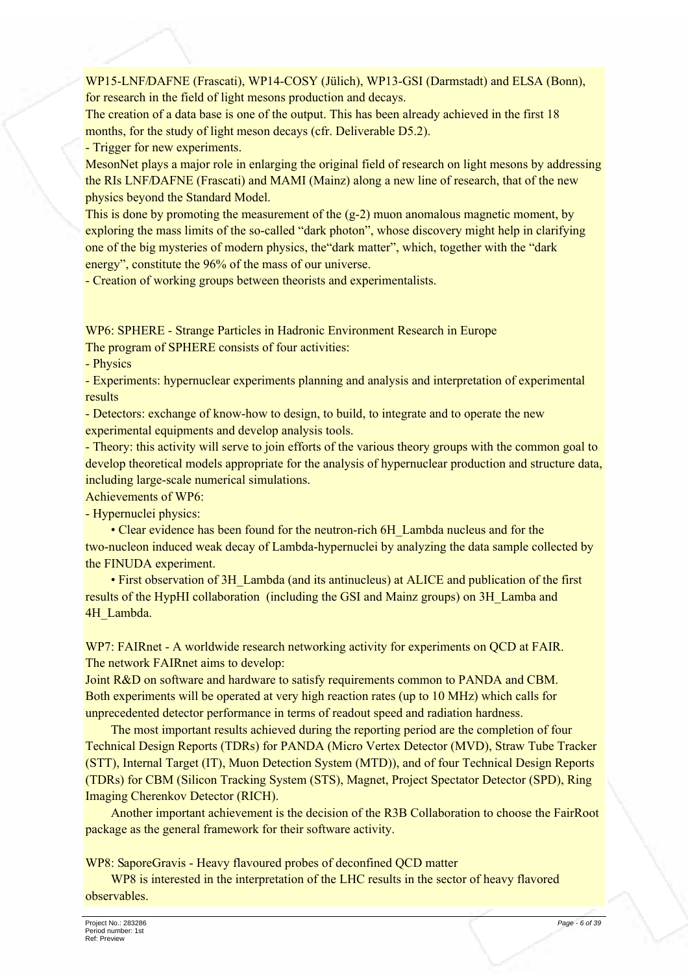WP15-LNF/DAFNE (Frascati), WP14-COSY (Jülich), WP13-GSI (Darmstadt) and ELSA (Bonn), for research in the field of light mesons production and decays.

The creation of a data base is one of the output. This has been already achieved in the first 18 months, for the study of light meson decays (cfr. Deliverable D5.2).

- Trigger for new experiments.

MesonNet plays a major role in enlarging the original field of research on light mesons by addressing the RIs LNF/DAFNE (Frascati) and MAMI (Mainz) along a new line of research, that of the new physics beyond the Standard Model.

This is done by promoting the measurement of the  $(g-2)$  muon anomalous magnetic moment, by exploring the mass limits of the so-called "dark photon", whose discovery might help in clarifying one of the big mysteries of modern physics, the "dark matter", which, together with the "dark" energy", constitute the 96% of the mass of our universe.

- Creation of working groups between theorists and experimentalists.

WP6: SPHERE - Strange Particles in Hadronic Environment Research in Europe

The program of SPHERE consists of four activities:

- Physics

- Experiments: hypernuclear experiments planning and analysis and interpretation of experimental results

- Detectors: exchange of know-how to design, to build, to integrate and to operate the new experimental equipments and develop analysis tools.

- Theory: this activity will serve to join efforts of the various theory groups with the common goal to develop theoretical models appropriate for the analysis of hypernuclear production and structure data. including large-scale numerical simulations.

Achievements of WP6:

- Hypernuclei physics:

• Clear evidence has been found for the neutron-rich 6H Lambda nucleus and for the two-nucleon induced weak decay of Lambda-hypernuclei by analyzing the data sample collected by the FINUDA experiment.

• First observation of 3H Lambda (and its antinucleus) at ALICE and publication of the first results of the HypHI collaboration (including the GSI and Mainz groups) on 3H\_Lamba and 4H Lambda.

WP7: FAIRnet - A worldwide research networking activity for experiments on QCD at FAIR. The network FAIRnet aims to develop:

Joint R&D on software and hardware to satisfy requirements common to PANDA and CBM. Both experiments will be operated at very high reaction rates (up to 10 MHz) which calls for unprecedented detector performance in terms of readout speed and radiation hardness.

The most important results achieved during the reporting period are the completion of four Technical Design Reports (TDRs) for PANDA (Micro Vertex Detector (MVD). Straw Tube Tracker (STT), Internal Target (IT), Muon Detection System (MTD)), and of four Technical Design Reports (TDRs) for CBM (Silicon Tracking System (STS), Magnet, Project Spectator Detector (SPD), Ring Imaging Cherenkov Detector (RICH).

Another important achievement is the decision of the R3B Collaboration to choose the FairRoot package as the general framework for their software activity.

WP8: SaporeGravis - Heavy flavoured probes of deconfined QCD matter

WP8 is interested in the interpretation of the LHC results in the sector of heavy flavored observables.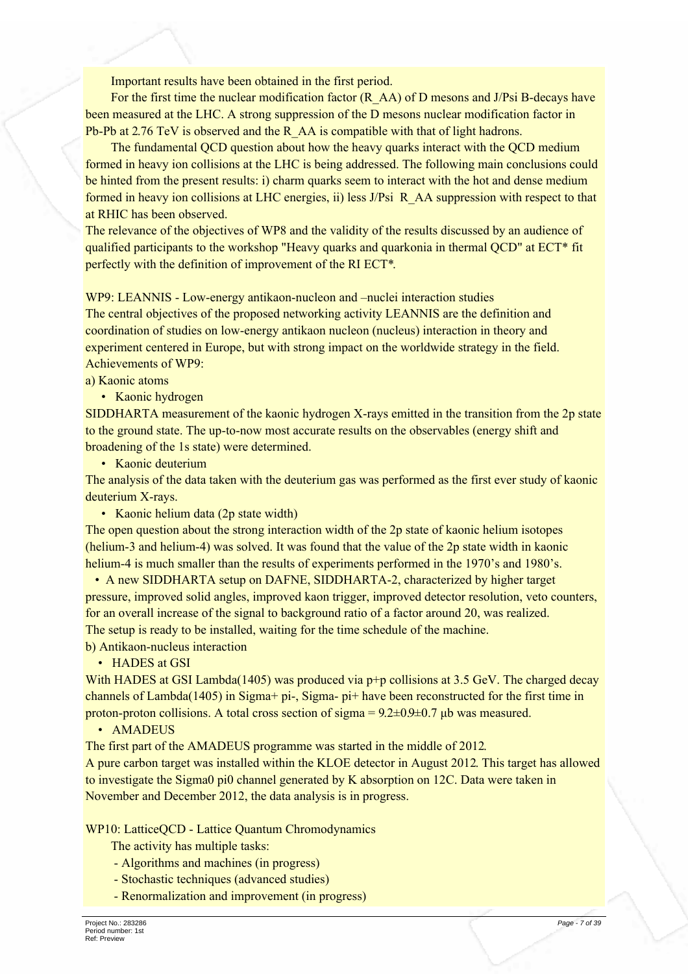Important results have been obtained in the first period.

For the first time the nuclear modification factor  $(R \text{ AA})$  of D mesons and J/Psi B-decays have been measured at the LHC. A strong suppression of the D mesons nuclear modification factor in Pb-Pb at 2.76 TeV is observed and the R AA is compatible with that of light hadrons.

The fundamental OCD question about how the heavy quarks interact with the OCD medium formed in heavy ion collisions at the LHC is being addressed. The following main conclusions could be hinted from the present results: i) charm quarks seem to interact with the hot and dense medium formed in heavy ion collisions at LHC energies, ii) less J/Psi R AA suppression with respect to that at RHIC has been observed.

The relevance of the objectives of WP8 and the validity of the results discussed by an audience of qualified participants to the workshop "Heavy quarks and quarkonia in thermal OCD" at ECT\* fit perfectly with the definition of improvement of the RI ECT\*.

WP9: LEANNIS - Low-energy antikaon-nucleon and –nuclei interaction studies

The central objectives of the proposed networking activity LEANNIS are the definition and coordination of studies on low-energy antikaon nucleon (nucleus) interaction in theory and experiment centered in Europe, but with strong impact on the worldwide strategy in the field. Achievements of WP9.

a) Kaonic atoms

• Kaonic hydrogen

SIDDHARTA measurement of the kaonic hydrogen X-rays emitted in the transition from the 2p state to the ground state. The up-to-now most accurate results on the observables (energy shift and broadening of the 1s state) were determined.

• Kaonic deuterium

The analysis of the data taken with the deuterium gas was performed as the first ever study of kaonic deuterium X-rays.

• Kaonic helium data (2p state width)

The open question about the strong interaction width of the 2p state of kaonic helium isotopes (helium-3 and helium-4) was solved. It was found that the value of the 2p state width in kaonic helium-4 is much smaller than the results of experiments performed in the 1970's and 1980's.

• A new SIDDHARTA setup on DAFNE, SIDDHARTA-2, characterized by higher target pressure, improved solid angles, improved kaon trigger, improved detector resolution, veto counters, for an overall increase of the signal to background ratio of a factor around 20, was realized. The setup is ready to be installed, waiting for the time schedule of the machine. b) Antikaon-nucleus interaction

• HADES at GSI

With HADES at GSI Lambda(1405) was produced via  $p+p$  collisions at 3.5 GeV. The charged decay channels of Lambda(1405) in Sigma+ pi-, Sigma- pi+ have been reconstructed for the first time in proton-proton collisions. A total cross section of sigma =  $9.2 \pm 0.9 \pm 0.7$  µb was measured.

#### • AMADEUS

The first part of the AMADEUS programme was started in the middle of 2012.

A pure carbon target was installed within the KLOE detector in August 2012. This target has allowed to investigate the Sigma0 pi0 channel generated by K absorption on 12C. Data were taken in November and December 2012, the data analysis is in progress.

WP10: LatticeOCD - Lattice Ouantum Chromodynamics

The activity has multiple tasks:

- Algorithms and machines (in progress)
- Stochastic techniques (advanced studies)
- Renormalization and improvement (in progress)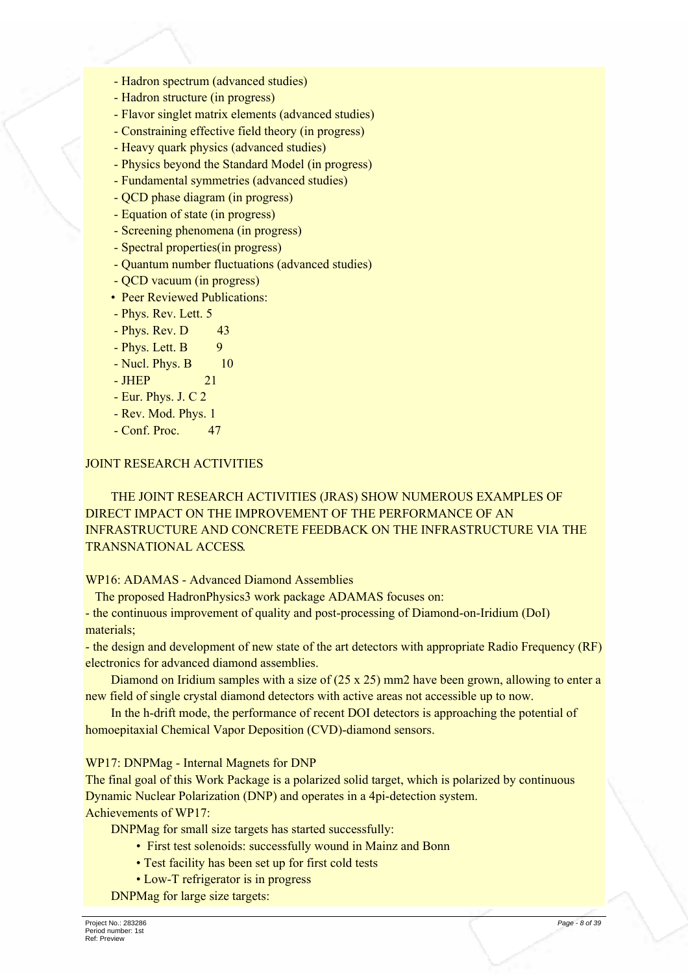- Hadron spectrum (advanced studies)
- Hadron structure (in progress)
- Flavor singlet matrix elements (advanced studies)
- Constraining effective field theory (in progress)
- Heavy quark physics (advanced studies)
- Physics beyond the Standard Model (in progress)
- Fundamental symmetries (advanced studies)
- QCD phase diagram (in progress)
- Equation of state (in progress)
- Screening phenomena (in progress)

 $2.1$ 

- Spectral properties (in progress)
- Quantum number fluctuations (advanced studies)
- QCD vacuum (in progress)
- Peer Reviewed Publications:
- Phys. Rev. Lett. 5
- Phys. Rev. D 43
- Phys. Lett. B 9
- Nucl. Phys. B  $10$
- $-$  JHEP
- Eur. Phys. J. C 2
- Rev. Mod. Phys. 1
- Conf. Proc. 47

#### **JOINT RESEARCH ACTIVITIES**

THE JOINT RESEARCH ACTIVITIES (JRAS) SHOW NUMEROUS EXAMPLES OF DIRECT IMPACT ON THE IMPROVEMENT OF THE PERFORMANCE OF AN **INFRASTRUCTURE AND CONCRETE FEEDBACK ON THE INFRASTRUCTURE VIA THE TRANSNATIONAL ACCESS.** 

#### **WP16: ADAMAS - Advanced Diamond Assemblies**

The proposed HadronPhysics3 work package ADAMAS focuses on:

- the continuous improvement of quality and post-processing of Diamond-on-Iridium (DoI) materials:

- the design and development of new state of the art detectors with appropriate Radio Frequency (RF) electronics for advanced diamond assemblies.

Diamond on Iridium samples with a size of  $(25 \times 25)$  mm2 have been grown, allowing to enter a new field of single crystal diamond detectors with active areas not accessible up to now.

In the h-drift mode, the performance of recent DOI detectors is approaching the potential of homoepitaxial Chemical Vapor Deposition (CVD)-diamond sensors.

WP17: DNPMag - Internal Magnets for DNP

The final goal of this Work Package is a polarized solid target, which is polarized by continuous Dynamic Nuclear Polarization (DNP) and operates in a 4pi-detection system. Achievements of WP17:

DNPMag for small size targets has started successfully:

- First test solenoids: successfully wound in Mainz and Bonn
- Test facility has been set up for first cold tests
- Low-T refrigerator is in progress

DNPMag for large size targets: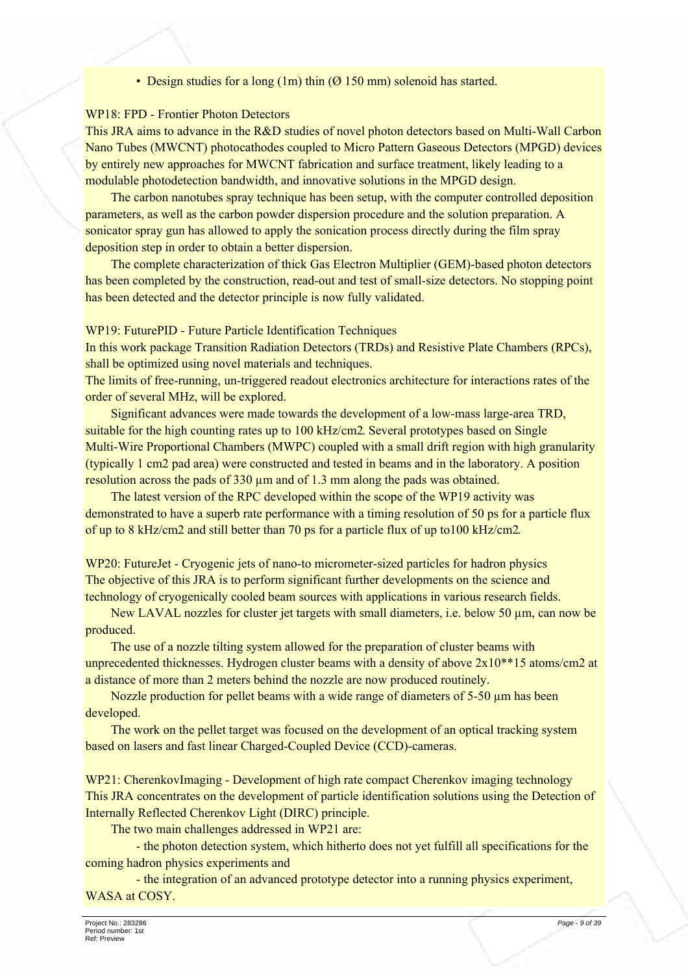• Design studies for a long  $(1m)$  thin  $(0 150$  mm) solenoid has started.

#### **WP18: FPD - Frontier Photon Detectors**

This JRA aims to advance in the R&D studies of novel photon detectors based on Multi-Wall Carbon Nano Tubes (MWCNT) photocathodes coupled to Micro Pattern Gaseous Detectors (MPGD) devices by entirely new approaches for MWCNT fabrication and surface treatment, likely leading to a modulable photodetection bandwidth, and innovative solutions in the MPGD design.

The carbon nanotubes spray technique has been setup, with the computer controlled deposition parameters, as well as the carbon powder dispersion procedure and the solution preparation. A sonicator spray gun has allowed to apply the sonication process directly during the film spray deposition step in order to obtain a better dispersion.

The complete characterization of thick Gas Electron Multiplier (GEM)-based photon detectors has been completed by the construction, read-out and test of small-size detectors. No stopping point has been detected and the detector principle is now fully validated.

WP19: FuturePID - Future Particle Identification Techniques

In this work package Transition Radiation Detectors (TRDs) and Resistive Plate Chambers (RPCs), shall be optimized using novel materials and techniques.

The limits of free-running, un-triggered readout electronics architecture for interactions rates of the order of several MHz, will be explored.

Significant advances were made towards the development of a low-mass large-area TRD, suitable for the high counting rates up to 100 kHz/cm2. Several prototypes based on Single Multi-Wire Proportional Chambers (MWPC) coupled with a small drift region with high granularity (typically 1 cm2 pad area) were constructed and tested in beams and in the laboratory. A position resolution across the pads of 330 µm and of 1.3 mm along the pads was obtained.

The latest version of the RPC developed within the scope of the WP19 activity was demonstrated to have a superb rate performance with a timing resolution of 50 ps for a particle flux of up to 8 kHz/cm2 and still better than 70 ps for a particle flux of up to 100 kHz/cm2.

WP20: FutureJet - Cryogenic jets of nano-to micrometer-sized particles for hadron physics The objective of this JRA is to perform significant further developments on the science and technology of cryogenically cooled beam sources with applications in various research fields.

New LAVAL nozzles for cluster jet targets with small diameters, i.e. below 50 µm, can now be produced.

The use of a nozzle tilting system allowed for the preparation of cluster beams with unprecedented thicknesses. Hydrogen cluster beams with a density of above  $2x10**15$  atoms/cm2 at a distance of more than 2 meters behind the nozzle are now produced routinely.

Nozzle production for pellet beams with a wide range of diameters of 5-50 µm has been developed.

The work on the pellet target was focused on the development of an optical tracking system based on lasers and fast linear Charged-Coupled Device (CCD)-cameras.

WP21: CherenkovImaging - Development of high rate compact Cherenkov imaging technology This JRA concentrates on the development of particle identification solutions using the Detection of Internally Reflected Cherenkov Light (DIRC) principle.

The two main challenges addressed in WP21 are:

- the photon detection system, which hitherto does not yet fulfill all specifications for the coming hadron physics experiments and

- the integration of an advanced prototype detector into a running physics experiment, WASA at COSY.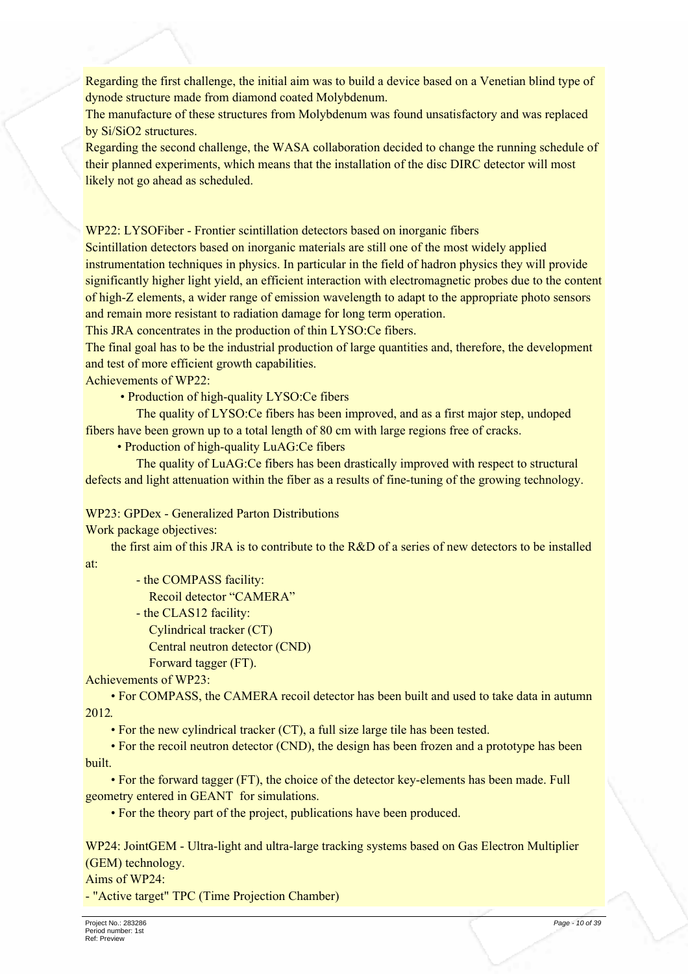Regarding the first challenge, the initial aim was to build a device based on a Venetian blind type of dynode structure made from diamond coated Molybdenum.

The manufacture of these structures from Molybdenum was found unsatisfactory and was replaced by Si/SiO2 structures.

Regarding the second challenge, the WASA collaboration decided to change the running schedule of their planned experiments, which means that the installation of the disc DIRC detector will most likely not go ahead as scheduled.

WP22: LYSOFiber - Frontier scintillation detectors based on inorganic fibers

Scintillation detectors based on inorganic materials are still one of the most widely applied instrumentation techniques in physics. In particular in the field of hadron physics they will provide significantly higher light yield, an efficient interaction with electromagnetic probes due to the content of high-Z elements, a wider range of emission wavelength to adapt to the appropriate photo sensors and remain more resistant to radiation damage for long term operation.

This JRA concentrates in the production of thin LYSO: Ce fibers.

The final goal has to be the industrial production of large quantities and, therefore, the development and test of more efficient growth capabilities.

Achievements of WP22:

• Production of high-quality LYSO:Ce fibers

The quality of LYSO: Ce fibers has been improved, and as a first major step, undoped fibers have been grown up to a total length of 80 cm with large regions free of cracks.

• Production of high-quality LuAG:Ce fibers

The quality of LuAG: Ce fibers has been drastically improved with respect to structural defects and light attenuation within the fiber as a results of fine-tuning of the growing technology.

WP23: GPDex - Generalized Parton Distributions

Work package objectives:

the first aim of this JRA is to contribute to the R&D of a series of new detectors to be installed at:

- the COMPASS facility:

Recoil detector "CAMERA"

- the CLAS12 facility:
- Cylindrical tracker (CT)

Central neutron detector (CND)

Forward tagger (FT).

Achievements of WP23:

• For COMPASS, the CAMERA recoil detector has been built and used to take data in autumn 2012.

• For the new cylindrical tracker (CT), a full size large tile has been tested.

• For the recoil neutron detector (CND), the design has been frozen and a prototype has been built.

• For the forward tagger (FT), the choice of the detector key-elements has been made. Full geometry entered in GEANT for simulations.

• For the theory part of the project, publications have been produced.

WP24: JointGEM - Ultra-light and ultra-large tracking systems based on Gas Electron Multiplier (GEM) technology.

Aims of WP24:

- "Active target" TPC (Time Projection Chamber)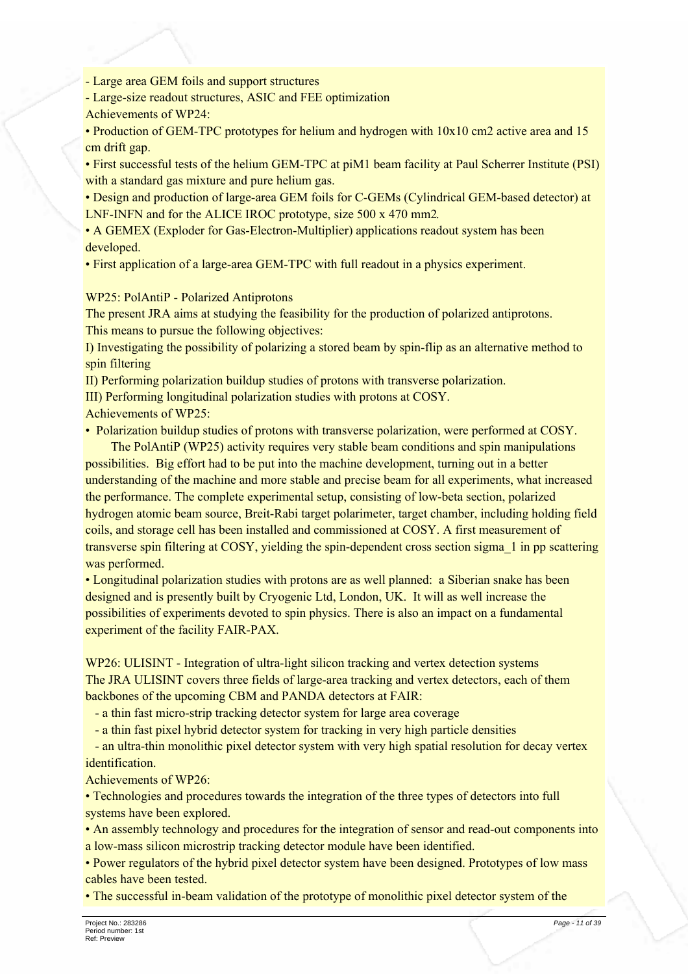- Large area GEM foils and support structures

- Large-size readout structures. ASIC and FEE optimization Achievements of WP24:

• Production of GEM-TPC prototypes for helium and hydrogen with  $10x10$  cm2 active area and 15 cm drift gap.

• First successful tests of the helium GEM-TPC at piM1 beam facility at Paul Scherrer Institute (PSI) with a standard gas mixture and pure helium gas.

- Design and production of large-area GEM foils for C-GEMs (Cylindrical GEM-based detector) at LNF-INFN and for the ALICE IROC prototype, size 500 x 470 mm2.
- A GEMEX (Exploder for Gas-Electron-Multiplier) applications readout system has been developed.
- First application of a large-area GEM-TPC with full readout in a physics experiment.

### **WP25: PolAntiP - Polarized Antiprotons**

The present JRA aims at studying the feasibility for the production of polarized antiprotons. This means to pursue the following objectives:

I) Investigating the possibility of polarizing a stored beam by spin-flip as an alternative method to spin filtering

II) Performing polarization buildup studies of protons with transverse polarization.

III) Performing longitudinal polarization studies with protons at COSY.

Achievements of WP25:

• Polarization buildup studies of protons with transverse polarization, were performed at COSY.

The PolAntiP (WP25) activity requires very stable beam conditions and spin manipulations possibilities. Big effort had to be put into the machine development, turning out in a better understanding of the machine and more stable and precise beam for all experiments, what increased the performance. The complete experimental setup, consisting of low-beta section, polarized hydrogen atomic beam source, Breit-Rabi target polarimeter, target chamber, including holding field coils, and storage cell has been installed and commissioned at COSY. A first measurement of transverse spin filtering at COSY, yielding the spin-dependent cross section sigma 1 in pp scattering was performed.

• Longitudinal polarization studies with protons are as well planned: a Siberian snake has been designed and is presently built by Cryogenic Ltd, London, UK. It will as well increase the possibilities of experiments devoted to spin physics. There is also an impact on a fundamental experiment of the facility FAIR-PAX.

WP26: ULISINT - Integration of ultra-light silicon tracking and vertex detection systems The JRA ULISINT covers three fields of large-area tracking and vertex detectors, each of them backbones of the upcoming CBM and PANDA detectors at FAIR:

- a thin fast micro-strip tracking detector system for large area coverage

- a thin fast pixel hybrid detector system for tracking in very high particle densities

- an ultra-thin monolithic pixel detector system with very high spatial resolution for decay vertex identification.

Achievements of WP26:

• Technologies and procedures towards the integration of the three types of detectors into full systems have been explored.

• An assembly technology and procedures for the integration of sensor and read-out components into a low-mass silicon microstrip tracking detector module have been identified.

• Power regulators of the hybrid pixel detector system have been designed. Prototypes of low mass cables have been tested.

• The successful in-beam validation of the prototype of monolithic pixel detector system of the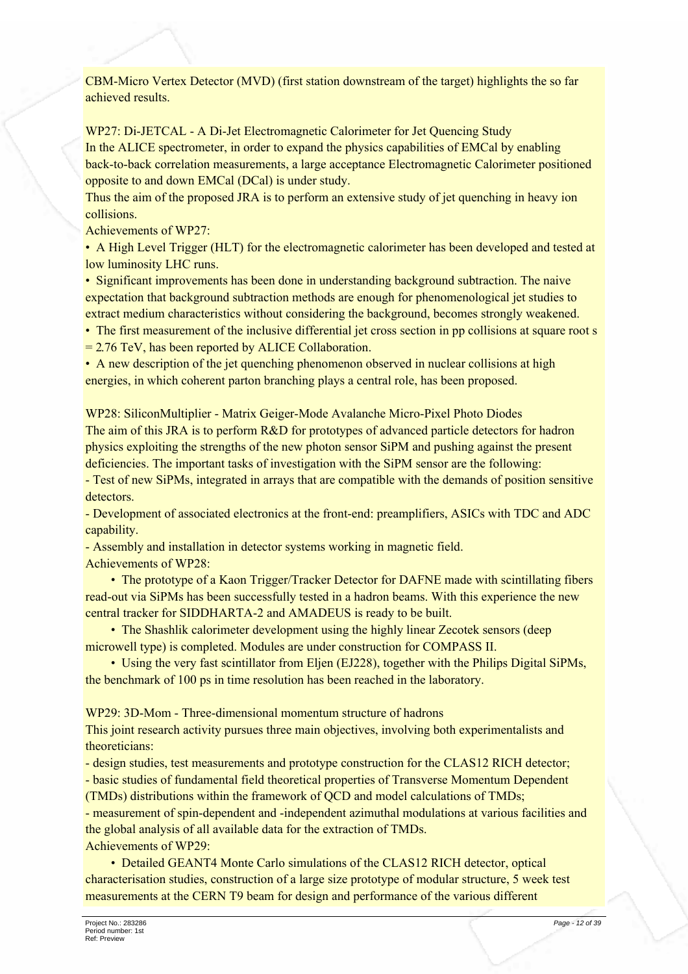CBM-Micro Vertex Detector (MVD) (first station downstream of the target) highlights the so far achieved results

WP27: Di-JETCAL - A Di-Jet Electromagnetic Calorimeter for Jet Quencing Study In the ALICE spectrometer, in order to expand the physics capabilities of EMCal by enabling back-to-back correlation measurements, a large acceptance Electromagnetic Calorimeter positioned opposite to and down EMCal (DCal) is under study.

Thus the aim of the proposed JRA is to perform an extensive study of jet quenching in heavy ion collisions.

Achievements of WP27:

• A High Level Trigger (HLT) for the electromagnetic calorimeter has been developed and tested at low luminosity LHC runs.

• Significant improvements has been done in understanding background subtraction. The naive expectation that background subtraction methods are enough for phenomenological jet studies to extract medium characteristics without considering the background, becomes strongly weakened.

• The first measurement of the inclusive differential jet cross section in pp collisions at square root s

 $= 2.76$  TeV, has been reported by ALICE Collaboration.

• A new description of the jet quenching phenomenon observed in nuclear collisions at high energies, in which coherent parton branching plays a central role, has been proposed.

WP28: SiliconMultiplier - Matrix Geiger-Mode Avalanche Micro-Pixel Photo Diodes The aim of this JRA is to perform R&D for prototypes of advanced particle detectors for hadron physics exploiting the strengths of the new photon sensor SiPM and pushing against the present deficiencies. The important tasks of investigation with the SiPM sensor are the following:

- Test of new SiPMs, integrated in arrays that are compatible with the demands of position sensitive detectors.

- Development of associated electronics at the front-end: preamplifiers, ASICs with TDC and ADC capability.

- Assembly and installation in detector systems working in magnetic field. Achievements of WP28:

• The prototype of a Kaon Trigger/Tracker Detector for DAFNE made with scintillating fibers read-out via SiPMs has been successfully tested in a hadron beams. With this experience the new central tracker for SIDDHARTA-2 and AMADEUS is ready to be built.

• The Shashlik calorimeter development using the highly linear Zecotek sensors (deep microwell type) is completed. Modules are under construction for COMPASS II.

• Using the very fast scintillator from Eljen (EJ228), together with the Philips Digital SiPMs, the benchmark of 100 ps in time resolution has been reached in the laboratory.

WP29: 3D-Mom - Three-dimensional momentum structure of hadrons

This joint research activity pursues three main objectives, involving both experimentalists and theoreticians:

- design studies, test measurements and prototype construction for the CLAS12 RICH detector; - basic studies of fundamental field theoretical properties of Transverse Momentum Dependent

(TMDs) distributions within the framework of OCD and model calculations of TMDs;

- measurement of spin-dependent and -independent azimuthal modulations at various facilities and the global analysis of all available data for the extraction of TMDs.

Achievements of WP29.

• Detailed GEANT4 Monte Carlo simulations of the CLAS12 RICH detector, optical characterisation studies, construction of a large size prototype of modular structure, 5 week test measurements at the CERN T9 beam for design and performance of the various different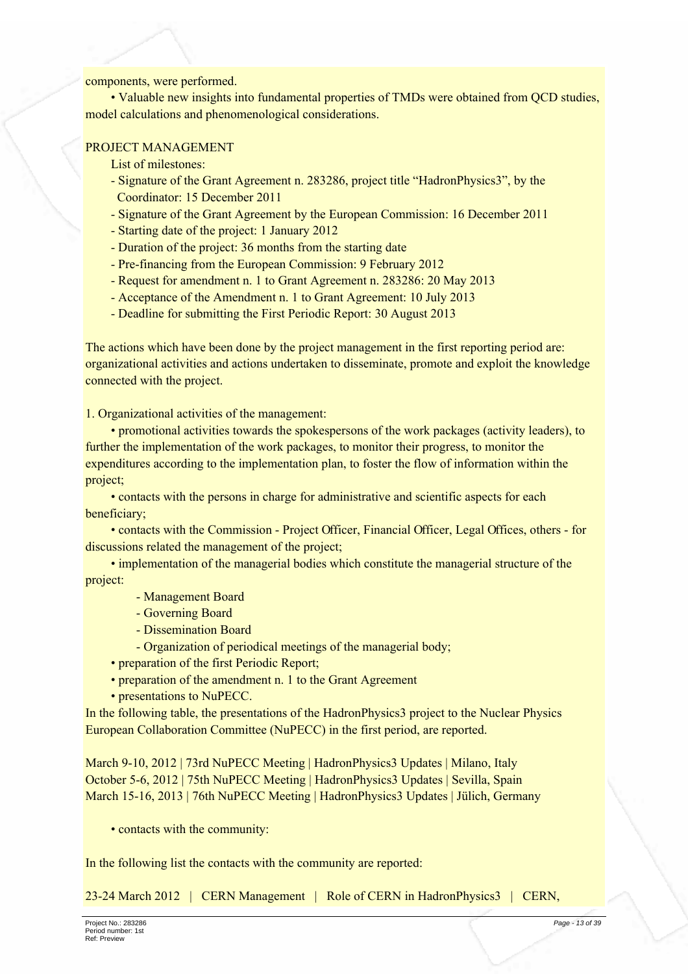#### components, were performed.

• Valuable new insights into fundamental properties of TMDs were obtained from OCD studies. model calculations and phenomenological considerations.

## PROJECT MANAGEMENT

- List of milestones:
- Signature of the Grant Agreement n. 283286, project title "HadronPhysics3", by the Coordinator: 15 December 2011
- Signature of the Grant Agreement by the European Commission: 16 December 2011
- Starting date of the project: 1 January 2012
- Duration of the project: 36 months from the starting date
- Pre-financing from the European Commission: 9 February 2012
- Request for amendment n. 1 to Grant Agreement n. 283286: 20 May 2013
- Acceptance of the Amendment n. 1 to Grant Agreement: 10 July 2013
- Deadline for submitting the First Periodic Report: 30 August 2013

The actions which have been done by the project management in the first reporting period are: organizational activities and actions undertaken to disseminate, promote and exploit the knowledge connected with the project.

1. Organizational activities of the management:

• promotional activities towards the spokespersons of the work packages (activity leaders), to further the implementation of the work packages, to monitor their progress, to monitor the expenditures according to the implementation plan, to foster the flow of information within the project;

• contacts with the persons in charge for administrative and scientific aspects for each beneficiary:

• contacts with the Commission - Project Officer, Financial Officer, Legal Offices, others - for discussions related the management of the project;

• implementation of the managerial bodies which constitute the managerial structure of the project:

- Management Board
- Governing Board
- Dissemination Board
- Organization of periodical meetings of the managerial body;
- preparation of the first Periodic Report;
- preparation of the amendment n. 1 to the Grant Agreement
- presentations to NuPECC.

In the following table, the presentations of the Hadron Physics 3 project to the Nuclear Physics European Collaboration Committee (NuPECC) in the first period, are reported.

March 9-10, 2012 | 73rd NuPECC Meeting | HadronPhysics 3 Updates | Milano, Italy October 5-6, 2012 | 75th NuPECC Meeting | HadronPhysics3 Updates | Sevilla, Spain March 15-16, 2013 | 76th NuPECC Meeting | HadronPhysics3 Updates | Jülich, Germany

• contacts with the community:

In the following list the contacts with the community are reported:

23-24 March 2012 | CERN Management | Role of CERN in HadronPhysics3 | CERN,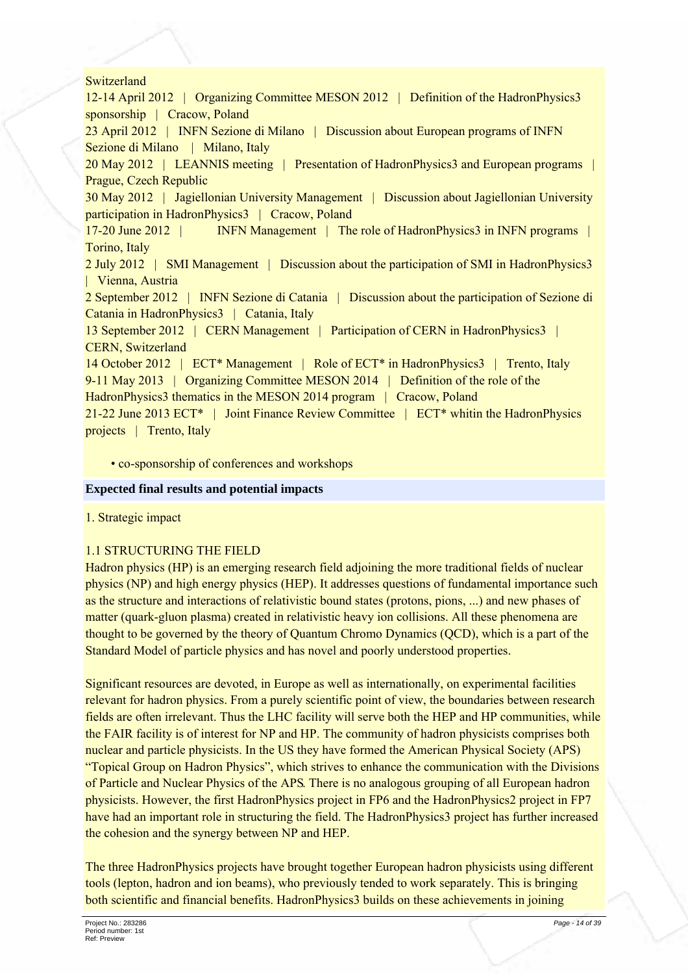#### Switzerland

12-14 April 2012 | Organizing Committee MESON 2012 | Definition of the Hadron Physics 3 sponsorship | Cracow, Poland

23 April 2012 | INFN Sezione di Milano | Discussion about European programs of INFN Sezione di Milano | Milano, Italy

20 May 2012 | LEANNIS meeting | Presentation of Hadron Physics 3 and European programs | Prague, Czech Republic

30 May 2012 | Jagiellonian University Management | Discussion about Jagiellonian University participation in HadronPhysics3 | Cracow, Poland

17-20 June 2012 | **INFN Management** | The role of HadronPhysics3 in INFN programs | Torino, Italy

2 July 2012 | SMI Management | Discussion about the participation of SMI in Hadron Physics 3 | Vienna, Austria

2 September 2012 | INFN Sezione di Catania | Discussion about the participation of Sezione di Catania in HadronPhysics3 | Catania, Italy

13 September 2012 | CERN Management | Participation of CERN in HadronPhysics3 | **CERN, Switzerland** 

14 October 2012 | ECT\* Management | Role of ECT\* in HadronPhysics3 | Trento, Italy 9-11 May 2013 | Organizing Committee MESON 2014 | Definition of the role of the

HadronPhysics3 thematics in the MESON 2014 program | Cracow, Poland

21-22 June 2013 ECT<sup>\*</sup> | Joint Finance Review Committee | ECT<sup>\*</sup> whitin the Hadron Physics projects | Trento, Italy

• co-sponsorship of conferences and workshops

#### **Expected final results and potential impacts**

1. Strategic impact

#### **1.1 STRUCTURING THE FIELD**

Hadron physics (HP) is an emerging research field adjoining the more traditional fields of nuclear physics (NP) and high energy physics (HEP). It addresses questions of fundamental importance such as the structure and interactions of relativistic bound states (protons, pions, ...) and new phases of matter (quark-gluon plasma) created in relativistic heavy ion collisions. All these phenomena are thought to be governed by the theory of Quantum Chromo Dynamics (QCD), which is a part of the Standard Model of particle physics and has novel and poorly understood properties.

Significant resources are devoted, in Europe as well as internationally, on experimental facilities relevant for hadron physics. From a purely scientific point of view, the boundaries between research fields are often irrelevant. Thus the LHC facility will serve both the HEP and HP communities, while the FAIR facility is of interest for NP and HP. The community of hadron physicists comprises both nuclear and particle physicists. In the US they have formed the American Physical Society (APS) "Topical Group on Hadron Physics", which strives to enhance the communication with the Divisions of Particle and Nuclear Physics of the APS. There is no analogous grouping of all European hadron physicists. However, the first HadronPhysics project in FP6 and the HadronPhysics2 project in FP7 have had an important role in structuring the field. The HadronPhysics3 project has further increased the cohesion and the synergy between NP and HEP.

The three Hadron Physics projects have brought together European hadron physicists using different tools (lepton, hadron and ion beams), who previously tended to work separately. This is bringing both scientific and financial benefits. HadronPhysics3 builds on these achievements in joining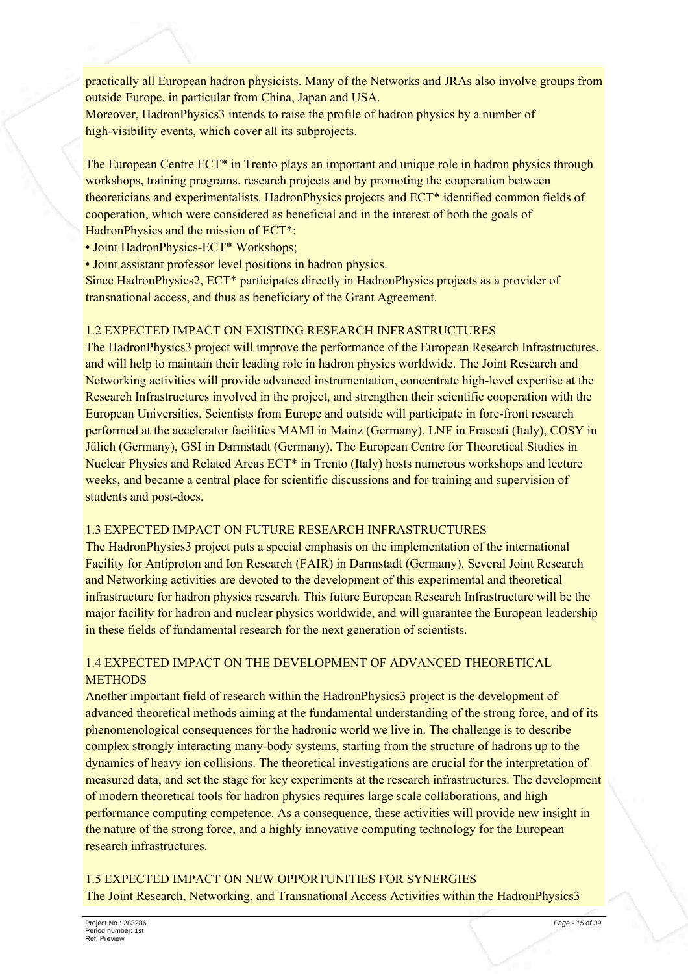practically all European hadron physicists. Many of the Networks and JRAs also involve groups from outside Europe, in particular from China, Japan and USA. Moreover, HadronPhysics3 intends to raise the profile of hadron physics by a number of high-visibility events, which cover all its subprojects.

The European Centre ECT<sup>\*</sup> in Trento plays an important and unique role in hadron physics through workshops, training programs, research projects and by promoting the cooperation between theoreticians and experimentalists. HadronPhysics projects and ECT\* identified common fields of cooperation, which were considered as beneficial and in the interest of both the goals of Hadron Physics and the mission of ECT<sup>\*</sup>:

• Joint HadronPhysics-ECT\* Workshops;

• Joint assistant professor level positions in hadron physics.

Since HadronPhysics2, ECT\* participates directly in HadronPhysics projects as a provider of transnational access, and thus as beneficiary of the Grant Agreement.

### 1.2 EXPECTED IMPACT ON EXISTING RESEARCH INFRASTRUCTURES

The HadronPhysics3 project will improve the performance of the European Research Infrastructures, and will help to maintain their leading role in hadron physics worldwide. The Joint Research and Networking activities will provide advanced instrumentation, concentrate high-level expertise at the Research Infrastructures involved in the project, and strengthen their scientific cooperation with the European Universities. Scientists from Europe and outside will participate in fore-front research performed at the accelerator facilities MAMI in Mainz (Germany), LNF in Frascati (Italy), COSY in Jülich (Germany), GSI in Darmstadt (Germany). The European Centre for Theoretical Studies in Nuclear Physics and Related Areas ECT<sup>\*</sup> in Trento (Italy) hosts numerous workshops and lecture weeks, and became a central place for scientific discussions and for training and supervision of students and post-docs.

#### 13 EXPECTED IMPACT ON FUTURE RESEARCH INFRASTRUCTURES

The Hadron Physics 3 project puts a special emphasis on the implementation of the international Facility for Antiproton and Ion Research (FAIR) in Darmstadt (Germany). Several Joint Research and Networking activities are devoted to the development of this experimental and theoretical infrastructure for hadron physics research. This future European Research Infrastructure will be the major facility for hadron and nuclear physics worldwide, and will guarantee the European leadership in these fields of fundamental research for the next generation of scientists.

## 14 EXPECTED IMPACT ON THE DEVELOPMENT OF ADVANCED THEORETICAL **METHODS**

Another important field of research within the HadronPhysics3 project is the development of advanced theoretical methods aiming at the fundamental understanding of the strong force, and of its phenomenological consequences for the hadronic world we live in. The challenge is to describe complex strongly interacting many-body systems, starting from the structure of hadrons up to the dynamics of heavy ion collisions. The theoretical investigations are crucial for the interpretation of measured data, and set the stage for key experiments at the research infrastructures. The development of modern theoretical tools for hadron physics requires large scale collaborations, and high performance computing competence. As a consequence, these activities will provide new insight in the nature of the strong force, and a highly innovative computing technology for the European research infrastructures

1.5 EXPECTED IMPACT ON NEW OPPORTUNITIES FOR SYNERGIES The Joint Research, Networking, and Transnational Access Activities within the HadronPhysics3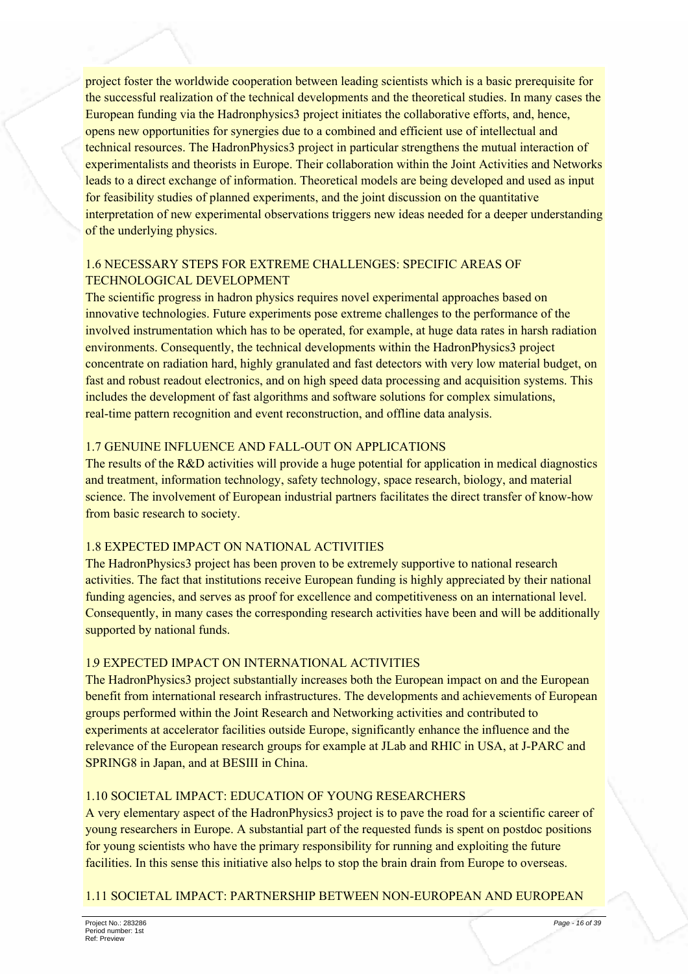project foster the worldwide cooperation between leading scientists which is a basic prerequisite for the successful realization of the technical developments and the theoretical studies. In many cases the European funding via the Hadronphysics moject initiates the collaborative efforts, and, hence, opens new opportunities for synergies due to a combined and efficient use of intellectual and technical resources. The HadronPhysics3 project in particular strengthens the mutual interaction of experimentalists and theorists in Europe. Their collaboration within the Joint Activities and Networks leads to a direct exchange of information. Theoretical models are being developed and used as input for feasibility studies of planned experiments, and the joint discussion on the quantitative interpretation of new experimental observations triggers new ideas needed for a deeper understanding of the underlying physics.

## **16 NECESSARY STEPS FOR EXTREME CHALLENGES: SPECIFIC AREAS OF TECHNOLOGICAL DEVELOPMENT**

The scientific progress in hadron physics requires novel experimental approaches based on innovative technologies. Future experiments pose extreme challenges to the performance of the involved instrumentation which has to be operated, for example, at huge data rates in harsh radiation environments. Consequently, the technical developments within the HadronPhysics3 project concentrate on radiation hard, highly granulated and fast detectors with very low material budget, on fast and robust readout electronics, and on high speed data processing and acquisition systems. This includes the development of fast algorithms and software solutions for complex simulations, real-time pattern recognition and event reconstruction, and offline data analysis.

## 1.7 GENUINE INFLUENCE AND FALL-OUT ON APPLICATIONS

The results of the  $R\&D$  activities will provide a huge potential for application in medical diagnostics and treatment, information technology, safety technology, space research, biology, and material science. The involvement of European industrial partners facilitates the direct transfer of know-how from basic research to society.

## **1.8 EXPECTED IMPACT ON NATIONAL ACTIVITIES**

The HadronPhysics3 project has been proven to be extremely supportive to national research activities. The fact that institutions receive European funding is highly appreciated by their national funding agencies, and serves as proof for excellence and competitiveness on an international level. Consequently, in many cases the corresponding research activities have been and will be additionally supported by national funds.

## **19 EXPECTED IMPACT ON INTERNATIONAL ACTIVITIES**

The Hadron Physics 3 project substantially increases both the European impact on and the European benefit from international research infrastructures. The developments and achievements of European groups performed within the Joint Research and Networking activities and contributed to experiments at accelerator facilities outside Europe, significantly enhance the influence and the relevance of the European research groups for example at JLab and RHIC in USA, at J-PARC and SPRING8 in Japan, and at BESIII in China.

## 1.10 SOCIETAL IMPACT: EDUCATION OF YOUNG RESEARCHERS

A very elementary aspect of the Hadron Physics 3 project is to pave the road for a scientific career of young researchers in Europe. A substantial part of the requested funds is spent on postdoc positions for young scientists who have the primary responsibility for running and exploiting the future facilities. In this sense this initiative also helps to stop the brain drain from Europe to overseas.

## 1.11 SOCIETAL IMPACT: PARTNERSHIP BETWEEN NON-EUROPEAN AND EUROPEAN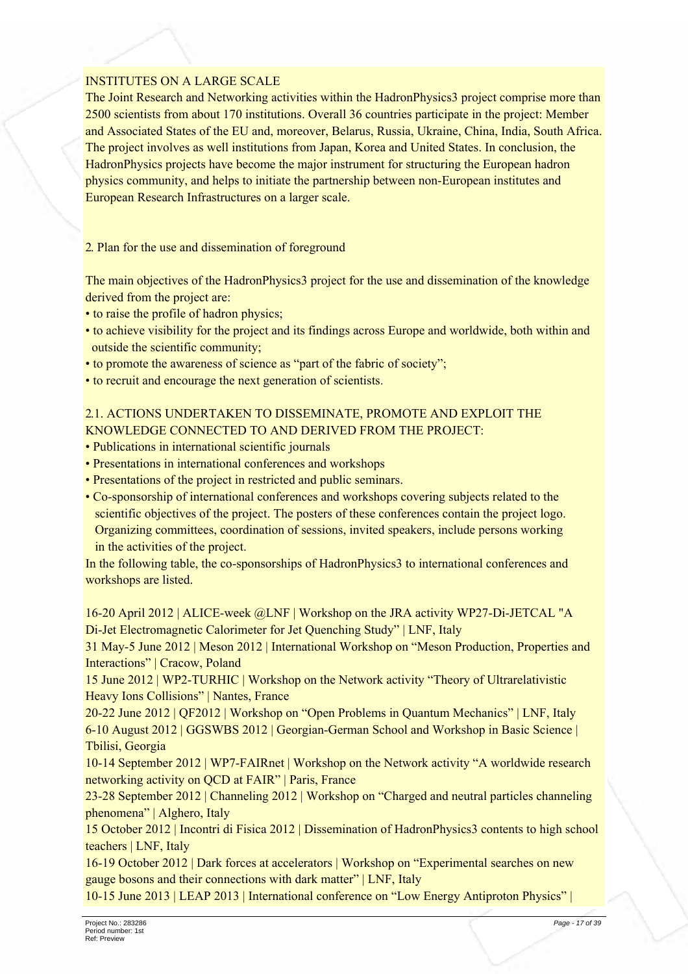### **INSTITUTES ON A LARGE SCALE**

The Joint Research and Networking activities within the Hadron Physics 3 project comprise more than 2500 scientists from about 170 institutions. Overall 36 countries participate in the project: Member and Associated States of the EU and, moreover, Belarus, Russia, Ukraine, China, India, South Africa. The project involves as well institutions from Japan, Korea and United States. In conclusion, the HadronPhysics projects have become the major instrument for structuring the European hadron physics community, and helps to initiate the partnership between non-European institutes and European Research Infrastructures on a larger scale.

2. Plan for the use and dissemination of foreground

The main objectives of the HadronPhysics3 project for the use and dissemination of the knowledge derived from the project are:

- to raise the profile of hadron physics;
- to achieve visibility for the project and its findings across Europe and worldwide, both within and outside the scientific community;
- to promote the awareness of science as "part of the fabric of society":
- to recruit and encourage the next generation of scientists.

## 2.1. ACTIONS UNDERTAKEN TO DISSEMINATE, PROMOTE AND EXPLOIT THE KNOWLEDGE CONNECTED TO AND DERIVED FROM THE PROJECT:

- Publications in international scientific journals
- Presentations in international conferences and workshops
- Presentations of the project in restricted and public seminars.
- Co-sponsorship of international conferences and workshops covering subjects related to the scientific objectives of the project. The posters of these conferences contain the project logo. Organizing committees, coordination of sessions, invited speakers, include persons working in the activities of the project.

In the following table, the co-sponsorships of Hadron Physics 3 to international conferences and workshops are listed.

16-20 April 2012 | ALICE-week @LNF | Workshop on the JRA activity WP27-Di-JETCAL "A Di-Jet Electromagnetic Calorimeter for Jet Quenching Study" | LNF, Italy

31 May-5 June 2012 | Meson 2012 | International Workshop on "Meson Production, Properties and Interactions" | Cracow, Poland

15 June 2012 | WP2-TURHIC | Workshop on the Network activity "Theory of Ultrarelativistic **Heavy Ions Collisions"** | Nantes, France

20-22 June 2012 | QF2012 | Workshop on "Open Problems in Quantum Mechanics" | LNF, Italy 6-10 August 2012 | GGSWBS 2012 | Georgian-German School and Workshop in Basic Science | Tbilisi. Georgia

10-14 September 2012 | WP7-FAIRnet | Workshop on the Network activity "A worldwide research" networking activity on QCD at FAIR" | Paris, France

23-28 September 2012 | Channeling 2012 | Workshop on "Charged and neutral particles channeling phenomena" | Alghero, Italy

15 October 2012 | Incontri di Fisica 2012 | Dissemination of HadronPhysics3 contents to high school teachers | LNF, Italy

16-19 October 2012 | Dark forces at accelerators | Workshop on "Experimental searches on new gauge bosons and their connections with dark matter" | LNF, Italy

10-15 June 2013 | LEAP 2013 | International conference on "Low Energy Antiproton Physics" |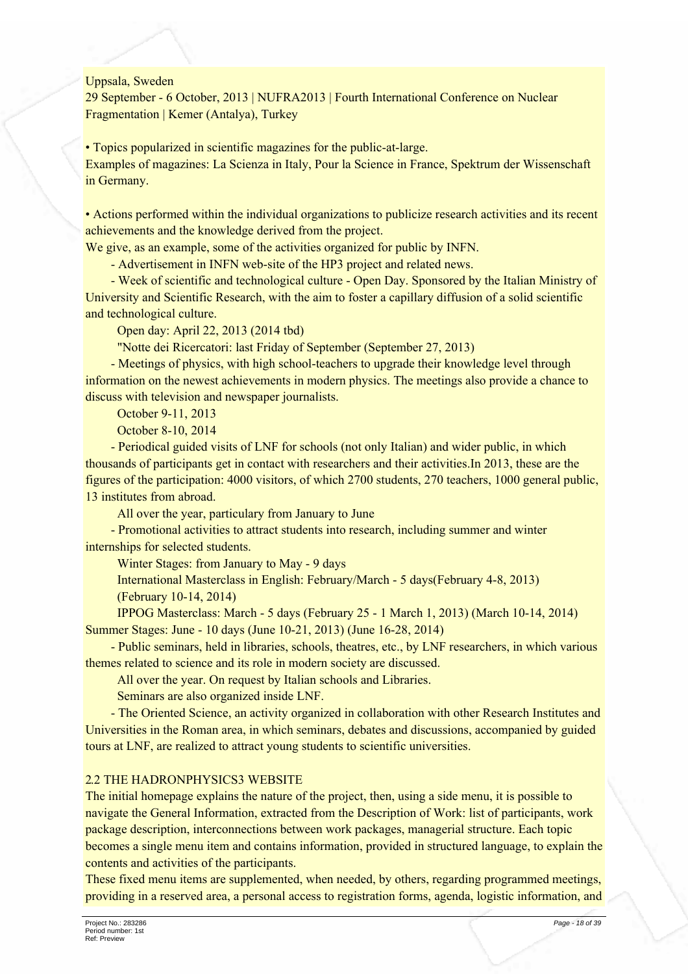Uppsala, Sweden

29 September - 6 October, 2013 | NUFRA2013 | Fourth International Conference on Nuclear Fragmentation | Kemer (Antalya), Turkey

• Topics popularized in scientific magazines for the public-at-large. Examples of magazines: La Scienza in Italy, Pour la Science in France, Spektrum der Wissenschaft in Germany.

• Actions performed within the individual organizations to publicize research activities and its recent achievements and the knowledge derived from the project.

We give, as an example, some of the activities organized for public by INFN.

- Advertisement in INFN web-site of the HP3 project and related news.

- Week of scientific and technological culture - Open Day. Sponsored by the Italian Ministry of University and Scientific Research, with the aim to foster a capillary diffusion of a solid scientific and technological culture.

Open day: April 22, 2013 (2014 tbd)

"Notte dei Ricercatori: last Friday of September (September 27, 2013)

- Meetings of physics, with high school-teachers to upgrade their knowledge level through information on the newest achievements in modern physics. The meetings also provide a chance to discuss with television and newspaper journalists.

October 9-11, 2013

October 8-10, 2014

- Periodical guided visits of LNF for schools (not only Italian) and wider public, in which thousands of participants get in contact with researchers and their activities. In 2013, these are the figures of the participation: 4000 visitors, of which 2700 students, 270 teachers, 1000 general public, 13 institutes from abroad.

All over the year, particulary from January to June

- Promotional activities to attract students into research, including summer and winter internships for selected students.

Winter Stages: from January to May - 9 days

International Masterclass in English: February/March - 5 days (February 4-8, 2013) (February 10-14, 2014)

IPPOG Masterclass: March - 5 days (February 25 - 1 March 1, 2013) (March 10-14, 2014) Summer Stages: June - 10 days (June 10-21, 2013) (June 16-28, 2014)

- Public seminars, held in libraries, schools, theatres, etc., by LNF researchers, in which various themes related to science and its role in modern society are discussed.

All over the year. On request by Italian schools and Libraries.

Seminars are also organized inside LNF.

- The Oriented Science, an activity organized in collaboration with other Research Institutes and Universities in the Roman area, in which seminars, debates and discussions, accompanied by guided tours at LNF, are realized to attract young students to scientific universities.

#### 2.2 THE HADRONPHYSICS3 WEBSITE

The initial homepage explains the nature of the project, then, using a side menu, it is possible to navigate the General Information, extracted from the Description of Work: list of participants, work package description, interconnections between work packages, managerial structure. Each topic becomes a single menu item and contains information, provided in structured language, to explain the contents and activities of the participants.

These fixed menu items are supplemented, when needed, by others, regarding programmed meetings, providing in a reserved area, a personal access to registration forms, agenda, logistic information, and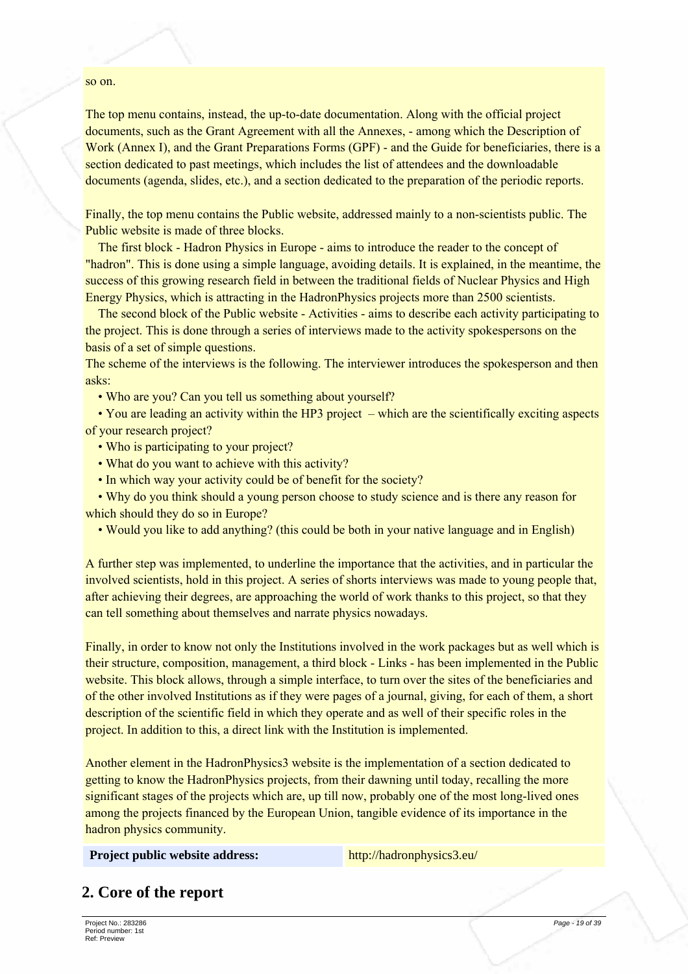#### so on.

The top menu contains, instead, the up-to-date documentation. Along with the official project documents, such as the Grant Agreement with all the Annexes, - among which the Description of Work (Annex I), and the Grant Preparations Forms (GPF) - and the Guide for beneficiaries, there is a section dedicated to past meetings, which includes the list of attendees and the downloadable documents (agenda, slides, etc.), and a section dedicated to the preparation of the periodic reports.

Finally, the top menu contains the Public website, addressed mainly to a non-scientists public. The Public website is made of three blocks.

The first block - Hadron Physics in Europe - aims to introduce the reader to the concept of "hadron". This is done using a simple language, avoiding details. It is explained, in the meantime, the success of this growing research field in between the traditional fields of Nuclear Physics and High Energy Physics, which is attracting in the Hadron Physics projects more than 2500 scientists.

The second block of the Public website - Activities - aims to describe each activity participating to the project. This is done through a series of interviews made to the activity spokespersons on the basis of a set of simple questions.

The scheme of the interviews is the following. The interviewer introduces the spokesperson and then asks<sup>-</sup>

• Who are you? Can you tell us something about yourself?

• You are leading an activity within the HP3 project – which are the scientifically exciting aspects of your research project?

- Who is participating to your project?
- What do you want to achieve with this activity?
- In which way your activity could be of benefit for the society?

• Why do you think should a young person choose to study science and is there any reason for which should they do so in Europe?

• Would you like to add anything? (this could be both in your native language and in English)

A further step was implemented, to underline the importance that the activities, and in particular the involved scientists, hold in this project. A series of shorts interviews was made to young people that, after achieving their degrees, are approaching the world of work thanks to this project, so that they can tell something about themselves and narrate physics nowadays.

Finally, in order to know not only the Institutions involved in the work packages but as well which is their structure, composition, management, a third block - Links - has been implemented in the Public website. This block allows, through a simple interface, to turn over the sites of the beneficiaries and of the other involved Institutions as if they were pages of a journal, giving, for each of them, a short description of the scientific field in which they operate and as well of their specific roles in the project. In addition to this, a direct link with the Institution is implemented.

Another element in the Hadron Physics 3 website is the implementation of a section dedicated to getting to know the Hadron Physics projects, from their dawning until today, recalling the more significant stages of the projects which are, up till now, probably one of the most long-lived ones among the projects financed by the European Union, tangible evidence of its importance in the hadron physics community.

Project public website address:

http://hadronphysics3.eu/

## 2. Core of the report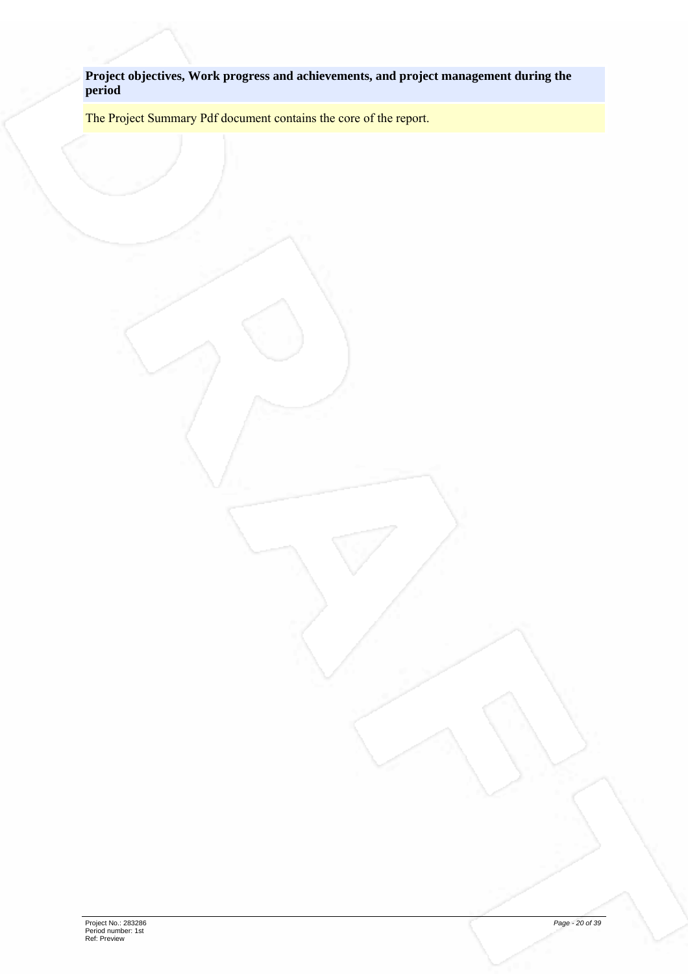**Project objectives, Work progress and achievements, and project management during the period**

The Project Summary Pdf document contains the core of the report.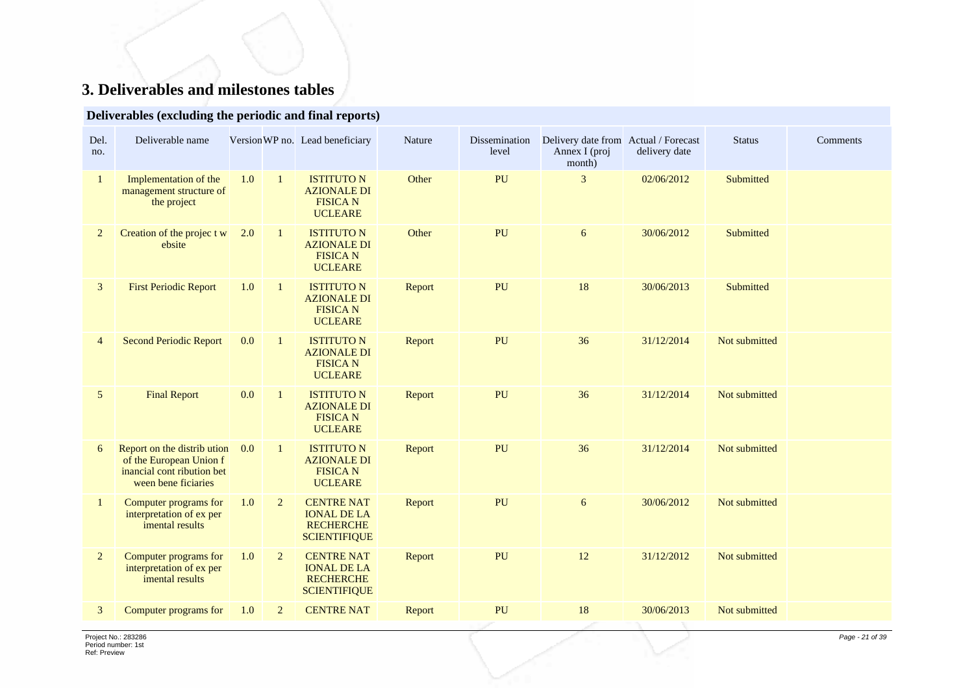# **3. Deliverables and milestones tables**

## **Deliverables (excluding the periodic and final reports)**

| Del.<br>no.    | Deliverable name                                                                                           |     |                | Version WP no. Lead beneficiary                                                    | Nature | Dissemination<br>level | Delivery date from Actual / Forecast<br>Annex I (proj<br>month) | delivery date | <b>Status</b> | Comments |
|----------------|------------------------------------------------------------------------------------------------------------|-----|----------------|------------------------------------------------------------------------------------|--------|------------------------|-----------------------------------------------------------------|---------------|---------------|----------|
| $\mathbf{1}$   | Implementation of the<br>management structure of<br>the project                                            | 1.0 | $\mathbf{1}$   | <b>ISTITUTO N</b><br><b>AZIONALE DI</b><br><b>FISICA N</b><br><b>UCLEARE</b>       | Other  | PU                     | 3                                                               | 02/06/2012    | Submitted     |          |
| $\overline{2}$ | Creation of the project w<br>ebsite                                                                        | 2.0 | $\mathbf{1}$   | <b>ISTITUTO N</b><br><b>AZIONALE DI</b><br><b>FISICA N</b><br><b>UCLEARE</b>       | Other  | PU                     | 6                                                               | 30/06/2012    | Submitted     |          |
| 3              | <b>First Periodic Report</b>                                                                               | 1.0 | $\mathbf{1}$   | <b>ISTITUTO N</b><br><b>AZIONALE DI</b><br><b>FISICA N</b><br><b>UCLEARE</b>       | Report | PU                     | 18                                                              | 30/06/2013    | Submitted     |          |
| $\overline{4}$ | <b>Second Periodic Report</b>                                                                              | 0.0 | $\mathbf{1}$   | <b>ISTITUTO N</b><br><b>AZIONALE DI</b><br><b>FISICAN</b><br><b>UCLEARE</b>        | Report | PU                     | 36                                                              | 31/12/2014    | Not submitted |          |
| 5              | <b>Final Report</b>                                                                                        | 0.0 | $\mathbf{1}$   | <b>ISTITUTO N</b><br><b>AZIONALE DI</b><br><b>FISICAN</b><br><b>UCLEARE</b>        | Report | PU                     | 36                                                              | 31/12/2014    | Not submitted |          |
| 6              | Report on the distribution<br>of the European Union f<br>inancial cont ribution bet<br>ween bene ficiaries | 0.0 | $\mathbf{1}$   | <b>ISTITUTO N</b><br><b>AZIONALE DI</b><br><b>FISICA N</b><br><b>UCLEARE</b>       | Report | PU                     | 36                                                              | 31/12/2014    | Not submitted |          |
| $\mathbf{1}$   | Computer programs for<br>interpretation of ex per<br>imental results                                       | 1.0 | $\overline{2}$ | <b>CENTRE NAT</b><br><b>IONAL DE LA</b><br><b>RECHERCHE</b><br><b>SCIENTIFIQUE</b> | Report | PU                     | $\boldsymbol{6}$                                                | 30/06/2012    | Not submitted |          |
| $\overline{2}$ | Computer programs for<br>interpretation of ex per<br>imental results                                       | 1.0 | $\overline{2}$ | <b>CENTRE NAT</b><br><b>IONAL DE LA</b><br><b>RECHERCHE</b><br><b>SCIENTIFIQUE</b> | Report | PU                     | 12                                                              | 31/12/2012    | Not submitted |          |
| 3              | Computer programs for                                                                                      | 1.0 | $\overline{2}$ | <b>CENTRE NAT</b>                                                                  | Report | PU                     | 18                                                              | 30/06/2013    | Not submitted |          |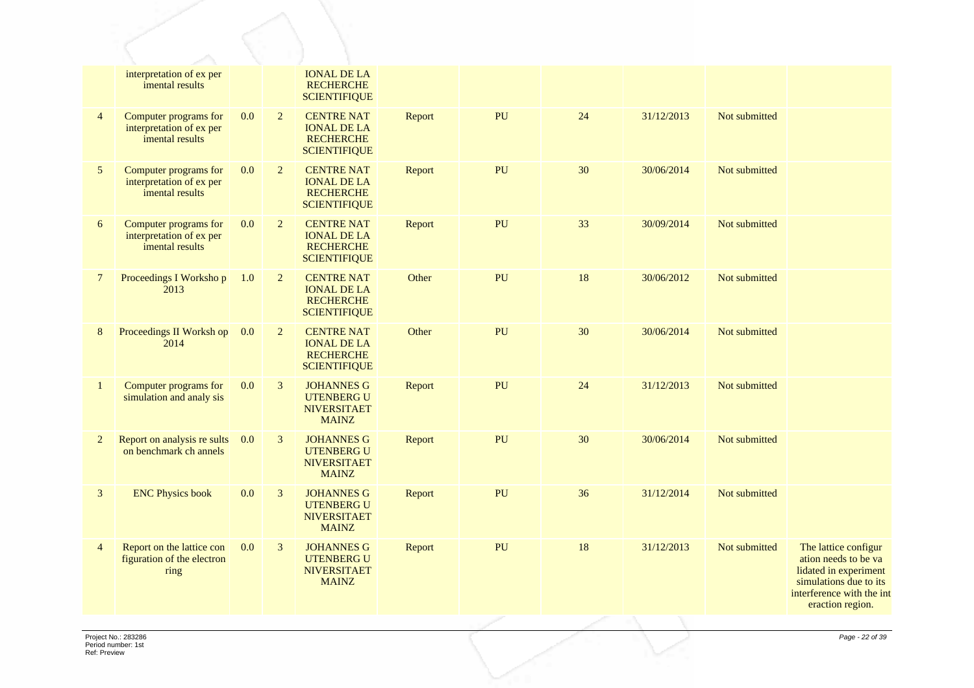|                | interpretation of ex per<br>imental results                          |         |                | <b>IONAL DE LA</b><br><b>RECHERCHE</b><br><b>SCIENTIFIQUE</b>                      |        |    |    |            |               |                                                                                                                                                  |
|----------------|----------------------------------------------------------------------|---------|----------------|------------------------------------------------------------------------------------|--------|----|----|------------|---------------|--------------------------------------------------------------------------------------------------------------------------------------------------|
| $\overline{4}$ | Computer programs for<br>interpretation of ex per<br>imental results | $0.0\,$ | $\overline{2}$ | <b>CENTRE NAT</b><br><b>IONAL DE LA</b><br><b>RECHERCHE</b><br><b>SCIENTIFIQUE</b> | Report | PU | 24 | 31/12/2013 | Not submitted |                                                                                                                                                  |
| 5              | Computer programs for<br>interpretation of ex per<br>imental results | 0.0     | $\overline{2}$ | <b>CENTRE NAT</b><br><b>IONAL DE LA</b><br><b>RECHERCHE</b><br><b>SCIENTIFIQUE</b> | Report | PU | 30 | 30/06/2014 | Not submitted |                                                                                                                                                  |
| 6              | Computer programs for<br>interpretation of ex per<br>imental results | 0.0     | 2              | <b>CENTRE NAT</b><br><b>IONAL DE LA</b><br><b>RECHERCHE</b><br><b>SCIENTIFIQUE</b> | Report | PU | 33 | 30/09/2014 | Not submitted |                                                                                                                                                  |
| $\overline{7}$ | Proceedings I Worksho p<br>2013                                      | 1.0     | $\overline{2}$ | <b>CENTRE NAT</b><br><b>IONAL DE LA</b><br><b>RECHERCHE</b><br><b>SCIENTIFIQUE</b> | Other  | PU | 18 | 30/06/2012 | Not submitted |                                                                                                                                                  |
| 8              | Proceedings II Worksh op<br>2014                                     | 0.0     | $\overline{2}$ | <b>CENTRE NAT</b><br><b>IONAL DE LA</b><br><b>RECHERCHE</b><br><b>SCIENTIFIQUE</b> | Other  | PU | 30 | 30/06/2014 | Not submitted |                                                                                                                                                  |
| 1              | Computer programs for<br>simulation and analy sis                    | 0.0     | 3              | <b>JOHANNES G</b><br><b>UTENBERG U</b><br><b>NIVERSITAET</b><br><b>MAINZ</b>       | Report | PU | 24 | 31/12/2013 | Not submitted |                                                                                                                                                  |
| $\overline{2}$ | Report on analysis re sults<br>on benchmark ch annels                | 0.0     | 3              | <b>JOHANNES G</b><br><b>UTENBERG U</b><br><b>NIVERSITAET</b><br><b>MAINZ</b>       | Report | PU | 30 | 30/06/2014 | Not submitted |                                                                                                                                                  |
| $\mathfrak{Z}$ | <b>ENC Physics book</b>                                              | 0.0     | $\mathbf{3}$   | <b>JOHANNES G</b><br><b>UTENBERG U</b><br><b>NIVERSITAET</b><br><b>MAINZ</b>       | Report | PU | 36 | 31/12/2014 | Not submitted |                                                                                                                                                  |
| $\overline{4}$ | Report on the lattice con<br>figuration of the electron<br>ring      | 0.0     | $\mathfrak{Z}$ | <b>JOHANNES G</b><br><b>UTENBERG U</b><br><b>NIVERSITAET</b><br><b>MAINZ</b>       | Report | PU | 18 | 31/12/2013 | Not submitted | The lattice configur<br>ation needs to be va<br>lidated in experiment<br>simulations due to its<br>interference with the int<br>eraction region. |
|                |                                                                      |         |                |                                                                                    |        |    |    |            |               |                                                                                                                                                  |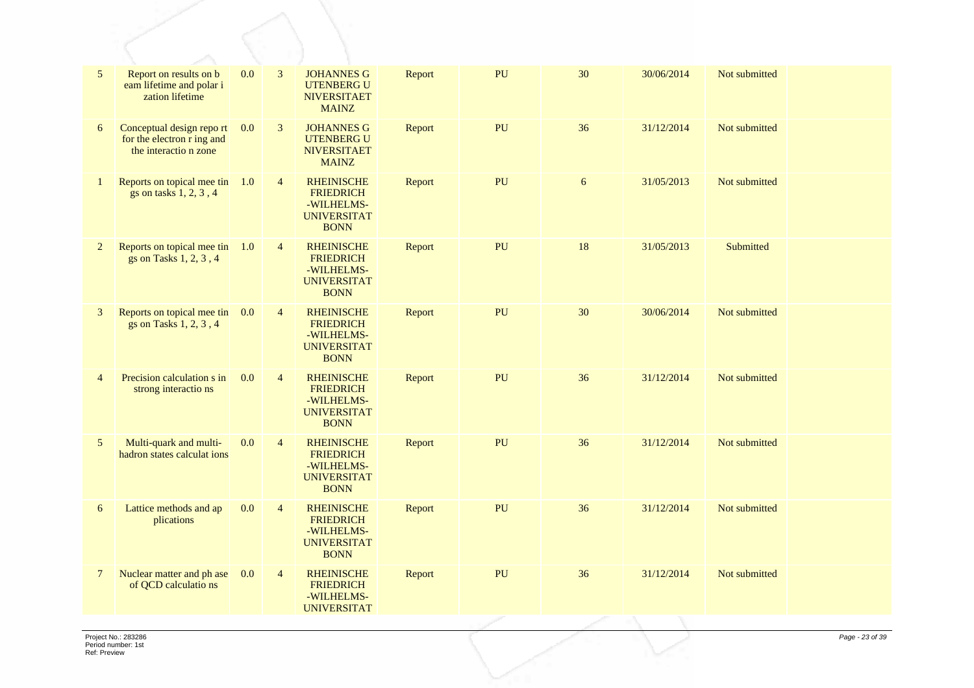| $\mathfrak{S}$ | Report on results on b<br>eam lifetime and polar i<br>zation lifetime           | 0.0 | 3              | <b>JOHANNES G</b><br><b>UTENBERG U</b><br><b>NIVERSITAET</b><br><b>MAINZ</b>             | Report | PU | 30 | 30/06/2014 | Not submitted |  |
|----------------|---------------------------------------------------------------------------------|-----|----------------|------------------------------------------------------------------------------------------|--------|----|----|------------|---------------|--|
| 6              | Conceptual design report<br>for the electron r ing and<br>the interactio n zone | 0.0 | 3              | <b>JOHANNES G</b><br><b>UTENBERG U</b><br><b>NIVERSITAET</b><br><b>MAINZ</b>             | Report | PU | 36 | 31/12/2014 | Not submitted |  |
| 1              | Reports on topical mee tin<br>gs on tasks 1, 2, 3, 4                            | 1.0 | $\overline{4}$ | <b>RHEINISCHE</b><br><b>FRIEDRICH</b><br>-WILHELMS-<br><b>UNIVERSITAT</b><br><b>BONN</b> | Report | PU | 6  | 31/05/2013 | Not submitted |  |
| $\overline{2}$ | Reports on topical mee tin<br>gs on Tasks 1, 2, 3, 4                            | 1.0 | $\overline{4}$ | <b>RHEINISCHE</b><br><b>FRIEDRICH</b><br>-WILHELMS-<br><b>UNIVERSITAT</b><br><b>BONN</b> | Report | PU | 18 | 31/05/2013 | Submitted     |  |
| $\mathfrak{Z}$ | Reports on topical mee tin<br>gs on Tasks 1, 2, 3, 4                            | 0.0 | $\overline{4}$ | <b>RHEINISCHE</b><br><b>FRIEDRICH</b><br>-WILHELMS-<br><b>UNIVERSITAT</b><br><b>BONN</b> | Report | PU | 30 | 30/06/2014 | Not submitted |  |
| $\overline{4}$ | Precision calculation s in<br>strong interactions                               | 0.0 | $\overline{4}$ | <b>RHEINISCHE</b><br><b>FRIEDRICH</b><br>-WILHELMS-<br><b>UNIVERSITAT</b><br><b>BONN</b> | Report | PU | 36 | 31/12/2014 | Not submitted |  |
| 5              | Multi-quark and multi-<br>hadron states calculat ions                           | 0.0 | $\overline{4}$ | <b>RHEINISCHE</b><br><b>FRIEDRICH</b><br>-WILHELMS-<br><b>UNIVERSITAT</b><br><b>BONN</b> | Report | PU | 36 | 31/12/2014 | Not submitted |  |
| 6              | Lattice methods and ap<br>plications                                            | 0.0 | $\overline{4}$ | <b>RHEINISCHE</b><br><b>FRIEDRICH</b><br>-WILHELMS-<br><b>UNIVERSITAT</b><br><b>BONN</b> | Report | PU | 36 | 31/12/2014 | Not submitted |  |
| $\overline{7}$ | Nuclear matter and ph ase<br>of QCD calculatio ns                               | 0.0 | $\overline{4}$ | <b>RHEINISCHE</b><br><b>FRIEDRICH</b><br>-WILHELMS-<br><b>UNIVERSITAT</b>                | Report | PU | 36 | 31/12/2014 | Not submitted |  |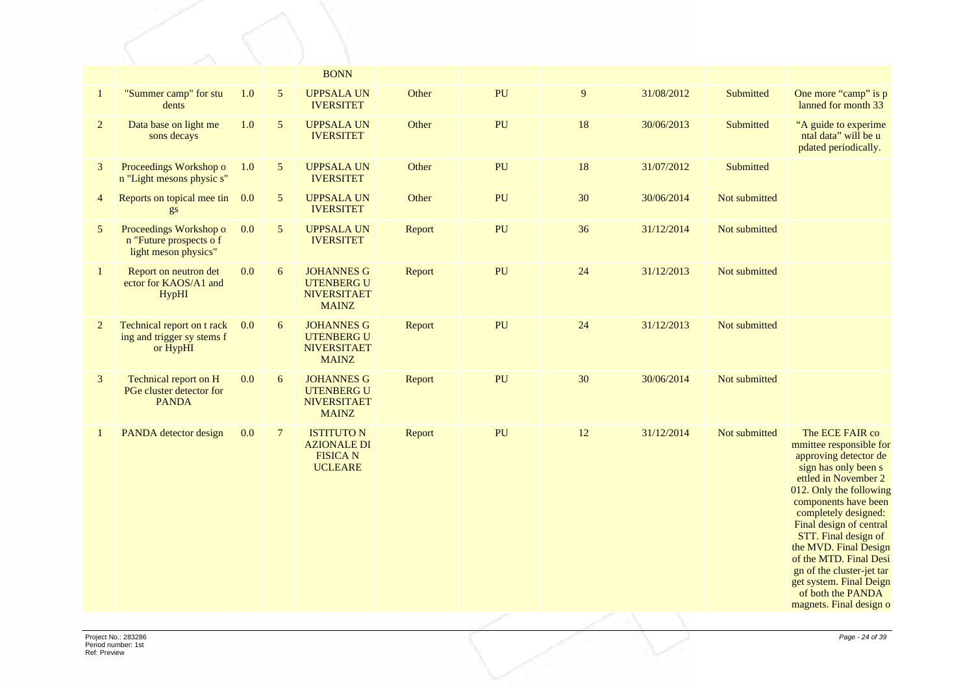|                |                                                                           |       |                  | <b>BONN</b>                                                                  |        |    |    |            |               |                                                                                                                                                                                                                                                                                                                                                                                                              |
|----------------|---------------------------------------------------------------------------|-------|------------------|------------------------------------------------------------------------------|--------|----|----|------------|---------------|--------------------------------------------------------------------------------------------------------------------------------------------------------------------------------------------------------------------------------------------------------------------------------------------------------------------------------------------------------------------------------------------------------------|
| $\mathbf{1}$   | "Summer camp" for stu<br>dents                                            | $1.0$ | $\sqrt{5}$       | <b>UPPSALA UN</b><br><b>IVERSITET</b>                                        | Other  | PU | 9  | 31/08/2012 | Submitted     | One more "camp" is p<br>lanned for month 33                                                                                                                                                                                                                                                                                                                                                                  |
| $\overline{2}$ | Data base on light me<br>sons decays                                      | $1.0$ | 5                | <b>UPPSALA UN</b><br><b>IVERSITET</b>                                        | Other  | PU | 18 | 30/06/2013 | Submitted     | "A guide to experime<br>ntal data" will be u<br>pdated periodically.                                                                                                                                                                                                                                                                                                                                         |
| 3              | Proceedings Workshop o<br>n "Light mesons physic s"                       | 1.0   | 5                | <b>UPPSALA UN</b><br><b>IVERSITET</b>                                        | Other  | PU | 18 | 31/07/2012 | Submitted     |                                                                                                                                                                                                                                                                                                                                                                                                              |
| $\overline{4}$ | Reports on topical mee tin<br>gs                                          | 0.0   | $\sqrt{5}$       | <b>UPPSALA UN</b><br><b>IVERSITET</b>                                        | Other  | PU | 30 | 30/06/2014 | Not submitted |                                                                                                                                                                                                                                                                                                                                                                                                              |
| $\mathfrak{S}$ | Proceedings Workshop o<br>n "Future prospects o f<br>light meson physics" | 0.0   | $5\overline{)}$  | <b>UPPSALA UN</b><br><b>IVERSITET</b>                                        | Report | PU | 36 | 31/12/2014 | Not submitted |                                                                                                                                                                                                                                                                                                                                                                                                              |
| $\mathbf{1}$   | Report on neutron det<br>ector for KAOS/A1 and<br><b>HypHI</b>            | 0.0   | $\boldsymbol{6}$ | <b>JOHANNES G</b><br><b>UTENBERG U</b><br><b>NIVERSITAET</b><br><b>MAINZ</b> | Report | PU | 24 | 31/12/2013 | Not submitted |                                                                                                                                                                                                                                                                                                                                                                                                              |
| $\overline{2}$ | Technical report on t rack<br>ing and trigger sy stems f<br>or HypHI      | 0.0   | 6                | <b>JOHANNES G</b><br><b>UTENBERG U</b><br><b>NIVERSITAET</b><br><b>MAINZ</b> | Report | PU | 24 | 31/12/2013 | Not submitted |                                                                                                                                                                                                                                                                                                                                                                                                              |
| $\mathbf{3}$   | Technical report on H<br>PGe cluster detector for<br><b>PANDA</b>         | 0.0   | $\boldsymbol{6}$ | <b>JOHANNES G</b><br><b>UTENBERG U</b><br><b>NIVERSITAET</b><br><b>MAINZ</b> | Report | PU | 30 | 30/06/2014 | Not submitted |                                                                                                                                                                                                                                                                                                                                                                                                              |
| $\mathbf{1}$   | PANDA detector design                                                     | 0.0   | $7\phantom{.0}$  | <b>ISTITUTO N</b><br><b>AZIONALE DI</b><br><b>FISICAN</b><br><b>UCLEARE</b>  | Report | PU | 12 | 31/12/2014 | Not submitted | The ECE FAIR co<br>mmittee responsible for<br>approving detector de<br>sign has only been s<br>ettled in November 2<br>012. Only the following<br>components have been<br>completely designed:<br>Final design of central<br>STT. Final design of<br>the MVD. Final Design<br>of the MTD. Final Desi<br>gn of the cluster-jet tar<br>get system. Final Deign<br>of both the PANDA<br>magnets. Final design o |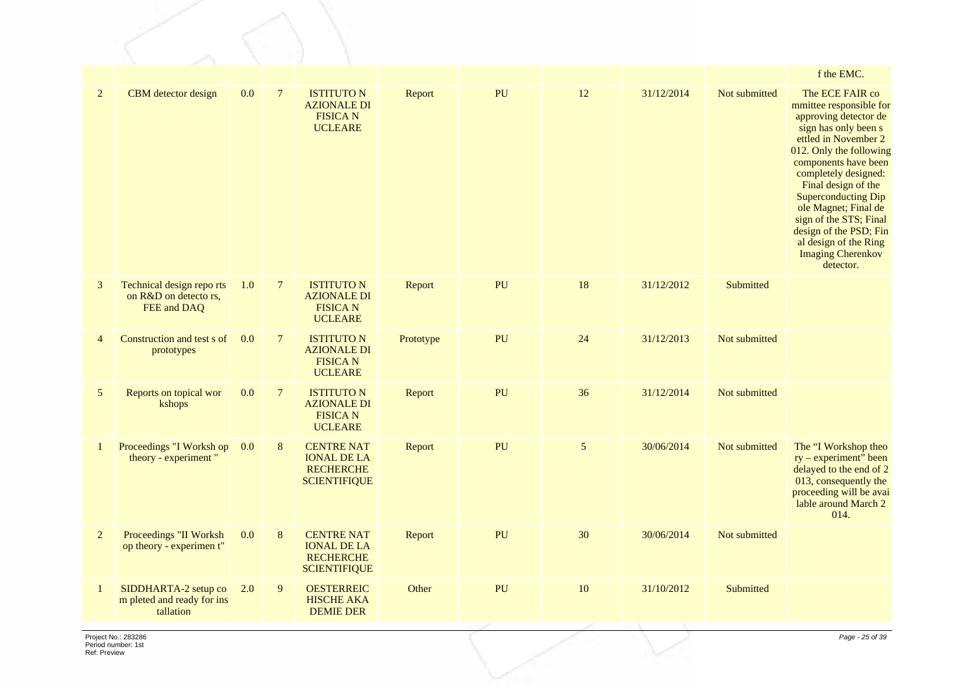|                |                                                                  |     |                |                                                                                    |           |    |                |            |               | f the EMC.                                                                                                                                                                                                                                                                                                                                                                                        |
|----------------|------------------------------------------------------------------|-----|----------------|------------------------------------------------------------------------------------|-----------|----|----------------|------------|---------------|---------------------------------------------------------------------------------------------------------------------------------------------------------------------------------------------------------------------------------------------------------------------------------------------------------------------------------------------------------------------------------------------------|
| $\overline{2}$ | CBM detector design                                              | 0.0 | $\overline{7}$ | <b>ISTITUTO N</b><br><b>AZIONALE DI</b><br><b>FISICAN</b><br><b>UCLEARE</b>        | Report    | PU | $12 \,$        | 31/12/2014 | Not submitted | The ECE FAIR co<br>mmittee responsible for<br>approving detector de<br>sign has only been s<br>ettled in November 2<br>012. Only the following<br>components have been<br>completely designed:<br>Final design of the<br><b>Superconducting Dip</b><br>ole Magnet; Final de<br>sign of the STS; Final<br>design of the PSD; Fin<br>al design of the Ring<br><b>Imaging Cherenkov</b><br>detector. |
| 3              | Technical design reports<br>on R&D on detecto rs,<br>FEE and DAQ | 1.0 | $\overline{7}$ | <b>ISTITUTO N</b><br><b>AZIONALE DI</b><br><b>FISICA N</b><br><b>UCLEARE</b>       | Report    | PU | 18             | 31/12/2012 | Submitted     |                                                                                                                                                                                                                                                                                                                                                                                                   |
| $\overline{4}$ | Construction and test s of<br>prototypes                         | 0.0 | $\overline{7}$ | <b>ISTITUTO N</b><br><b>AZIONALE DI</b><br><b>FISICAN</b><br><b>UCLEARE</b>        | Prototype | PU | 24             | 31/12/2013 | Not submitted |                                                                                                                                                                                                                                                                                                                                                                                                   |
| 5              | Reports on topical wor<br>kshops                                 | 0.0 | $\overline{7}$ | <b>ISTITUTO N</b><br><b>AZIONALE DI</b><br><b>FISICA N</b><br><b>UCLEARE</b>       | Report    | PU | 36             | 31/12/2014 | Not submitted |                                                                                                                                                                                                                                                                                                                                                                                                   |
| $\mathbf{1}$   | Proceedings "I Worksh op<br>theory - experiment "                | 0.0 | $8\,$          | <b>CENTRE NAT</b><br><b>IONAL DE LA</b><br><b>RECHERCHE</b><br><b>SCIENTIFIQUE</b> | Report    | PU | $\mathfrak{S}$ | 30/06/2014 | Not submitted | The "I Workshop theo<br>$ry$ – experiment" been<br>delayed to the end of 2<br>013, consequently the<br>proceeding will be avai<br>lable around March 2<br>014.                                                                                                                                                                                                                                    |
| $\overline{2}$ | Proceedings "II Worksh<br>op theory - experimen t"               | 0.0 | 8              | <b>CENTRE NAT</b><br><b>IONAL DE LA</b><br><b>RECHERCHE</b><br><b>SCIENTIFIQUE</b> | Report    | PU | 30             | 30/06/2014 | Not submitted |                                                                                                                                                                                                                                                                                                                                                                                                   |
| $\mathbf{1}$   | SIDDHARTA-2 setup co<br>m pleted and ready for ins<br>tallation  | 2.0 | 9              | <b>OESTERREIC</b><br><b>HISCHE AKA</b><br><b>DEMIE DER</b>                         | Other     | PU | $10\,$         | 31/10/2012 | Submitted     |                                                                                                                                                                                                                                                                                                                                                                                                   |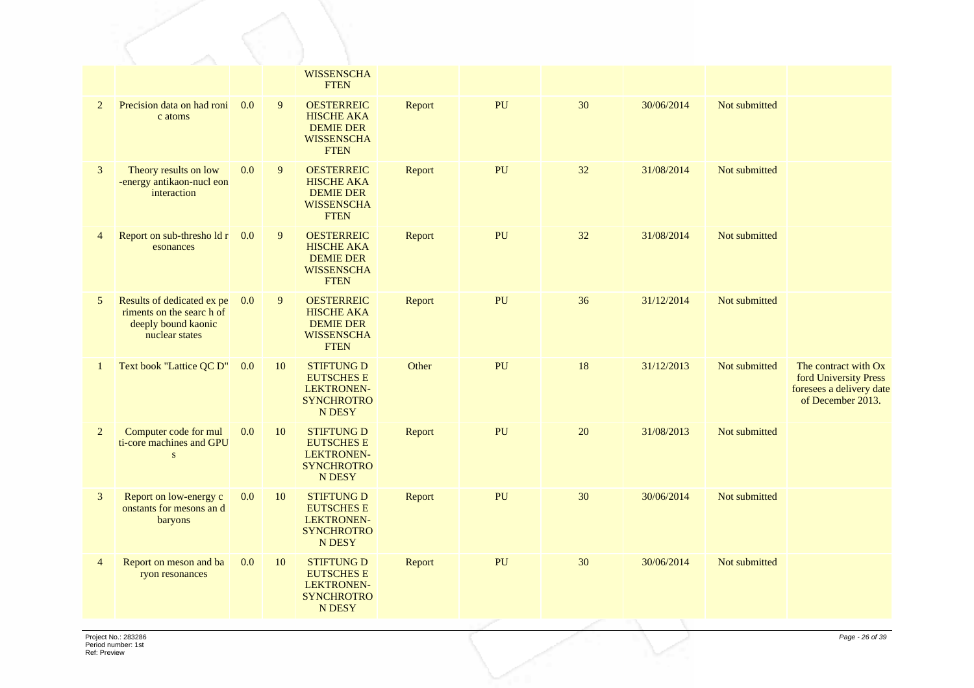|                |                                                                                                 |     |    | <b>WISSENSCHA</b><br><b>FTEN</b>                                                               |        |    |    |            |               |                                                                                                |
|----------------|-------------------------------------------------------------------------------------------------|-----|----|------------------------------------------------------------------------------------------------|--------|----|----|------------|---------------|------------------------------------------------------------------------------------------------|
| $\overline{2}$ | Precision data on had roni<br>c atoms                                                           | 0.0 | 9  | <b>OESTERREIC</b><br><b>HISCHE AKA</b><br><b>DEMIE DER</b><br><b>WISSENSCHA</b><br><b>FTEN</b> | Report | PU | 30 | 30/06/2014 | Not submitted |                                                                                                |
| 3              | Theory results on low<br>-energy antikaon-nucl eon<br>interaction                               | 0.0 | 9  | <b>OESTERREIC</b><br><b>HISCHE AKA</b><br><b>DEMIE DER</b><br><b>WISSENSCHA</b><br><b>FTEN</b> | Report | PU | 32 | 31/08/2014 | Not submitted |                                                                                                |
| $\overline{4}$ | Report on sub-threshold r<br>esonances                                                          | 0.0 | 9  | <b>OESTERREIC</b><br><b>HISCHE AKA</b><br><b>DEMIE DER</b><br><b>WISSENSCHA</b><br><b>FTEN</b> | Report | PU | 32 | 31/08/2014 | Not submitted |                                                                                                |
| 5              | Results of dedicated ex pe<br>riments on the search of<br>deeply bound kaonic<br>nuclear states | 0.0 | 9  | <b>OESTERREIC</b><br><b>HISCHE AKA</b><br><b>DEMIE DER</b><br><b>WISSENSCHA</b><br><b>FTEN</b> | Report | PU | 36 | 31/12/2014 | Not submitted |                                                                                                |
| 1              | Text book "Lattice QC D"                                                                        | 0.0 | 10 | <b>STIFTUNG D</b><br><b>EUTSCHES E</b><br>LEKTRONEN-<br><b>SYNCHROTRO</b><br><b>N DESY</b>     | Other  | PU | 18 | 31/12/2013 | Not submitted | The contract with Ox<br>ford University Press<br>foresees a delivery date<br>of December 2013. |
| $\overline{2}$ | Computer code for mul<br>ti-core machines and GPU<br>S                                          | 0.0 | 10 | <b>STIFTUNG D</b><br><b>EUTSCHES E</b><br>LEKTRONEN-<br><b>SYNCHROTRO</b><br>N DESY            | Report | PU | 20 | 31/08/2013 | Not submitted |                                                                                                |
| 3              | Report on low-energy c<br>onstants for mesons and<br><b>baryons</b>                             | 0.0 | 10 | <b>STIFTUNG D</b><br><b>EUTSCHES E</b><br><b>LEKTRONEN-</b><br><b>SYNCHROTRO</b><br>N DESY     | Report | PU | 30 | 30/06/2014 | Not submitted |                                                                                                |
| $\overline{4}$ | Report on meson and ba<br>ryon resonances                                                       | 0.0 | 10 | <b>STIFTUNG D</b><br><b>EUTSCHES E</b><br>LEKTRONEN-<br><b>SYNCHROTRO</b><br>N DESY            | Report | PU | 30 | 30/06/2014 | Not submitted |                                                                                                |
|                |                                                                                                 |     |    |                                                                                                |        |    |    |            |               |                                                                                                |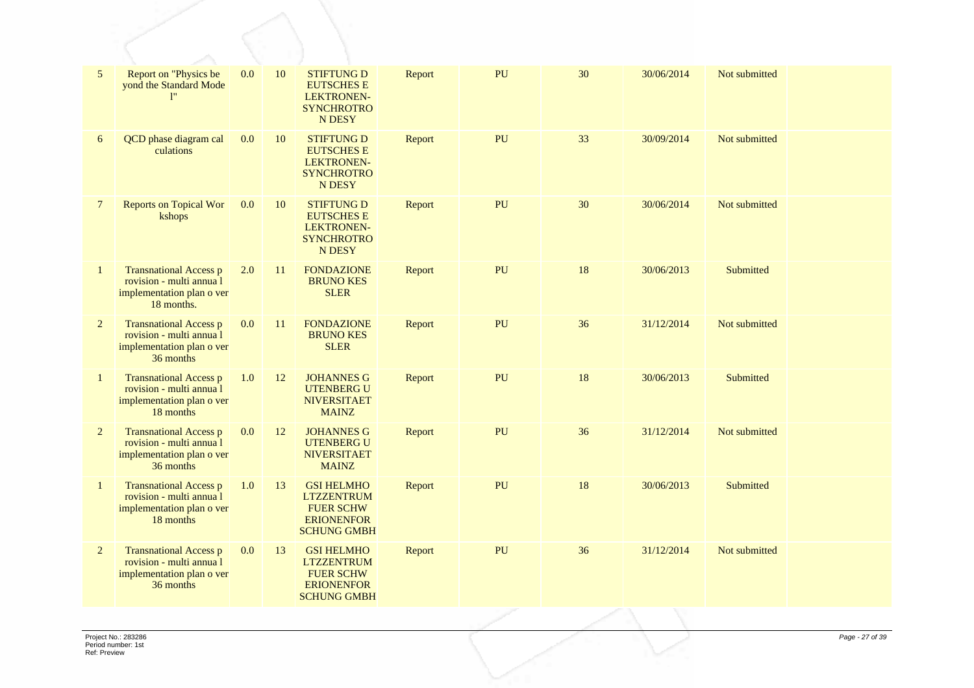| 5              | Report on "Physics be<br>yond the Standard Mode                                                      | 0.0 | 10 | <b>STIFTUNG D</b><br><b>EUTSCHES E</b><br><b>LEKTRONEN-</b><br><b>SYNCHROTRO</b><br>N DESY            | Report | PU | 30 | 30/06/2014 | Not submitted |  |
|----------------|------------------------------------------------------------------------------------------------------|-----|----|-------------------------------------------------------------------------------------------------------|--------|----|----|------------|---------------|--|
| 6              | QCD phase diagram cal<br>culations                                                                   | 0.0 | 10 | <b>STIFTUNG D</b><br><b>EUTSCHES E</b><br><b>LEKTRONEN-</b><br><b>SYNCHROTRO</b><br><b>N DESY</b>     | Report | PU | 33 | 30/09/2014 | Not submitted |  |
| $\tau$         | <b>Reports on Topical Wor</b><br>kshops                                                              | 0.0 | 10 | <b>STIFTUNG D</b><br><b>EUTSCHES E</b><br><b>LEKTRONEN-</b><br><b>SYNCHROTRO</b><br><b>N DESY</b>     | Report | PU | 30 | 30/06/2014 | Not submitted |  |
| $\mathbf{1}$   | <b>Transnational Access p</b><br>rovision - multi annua l<br>implementation plan o ver<br>18 months. | 2.0 | 11 | <b>FONDAZIONE</b><br><b>BRUNO KES</b><br><b>SLER</b>                                                  | Report | PU | 18 | 30/06/2013 | Submitted     |  |
| $\overline{2}$ | <b>Transnational Access p</b><br>rovision - multi annua l<br>implementation plan o ver<br>36 months  | 0.0 | 11 | <b>FONDAZIONE</b><br><b>BRUNO KES</b><br><b>SLER</b>                                                  | Report | PU | 36 | 31/12/2014 | Not submitted |  |
| $\mathbf{1}$   | <b>Transnational Access p</b><br>rovision - multi annua l<br>implementation plan o ver<br>18 months  | 1.0 | 12 | <b>JOHANNES G</b><br><b>UTENBERG U</b><br><b>NIVERSITAET</b><br><b>MAINZ</b>                          | Report | PU | 18 | 30/06/2013 | Submitted     |  |
| 2              | <b>Transnational Access p</b><br>rovision - multi annua l<br>implementation plan o ver<br>36 months  | 0.0 | 12 | <b>JOHANNES G</b><br><b>UTENBERG U</b><br><b>NIVERSITAET</b><br><b>MAINZ</b>                          | Report | PU | 36 | 31/12/2014 | Not submitted |  |
| $\mathbf{1}$   | <b>Transnational Access p</b><br>rovision - multi annua l<br>implementation plan o ver<br>18 months  | 1.0 | 13 | <b>GSI HELMHO</b><br><b>LTZZENTRUM</b><br><b>FUER SCHW</b><br><b>ERIONENFOR</b><br><b>SCHUNG GMBH</b> | Report | PU | 18 | 30/06/2013 | Submitted     |  |
| $\overline{2}$ | <b>Transnational Access p</b><br>rovision - multi annua l<br>implementation plan o ver<br>36 months  | 0.0 | 13 | <b>GSI HELMHO</b><br><b>LTZZENTRUM</b><br><b>FUER SCHW</b><br><b>ERIONENFOR</b><br><b>SCHUNG GMBH</b> | Report | PU | 36 | 31/12/2014 | Not submitted |  |
|                |                                                                                                      |     |    |                                                                                                       |        |    |    |            |               |  |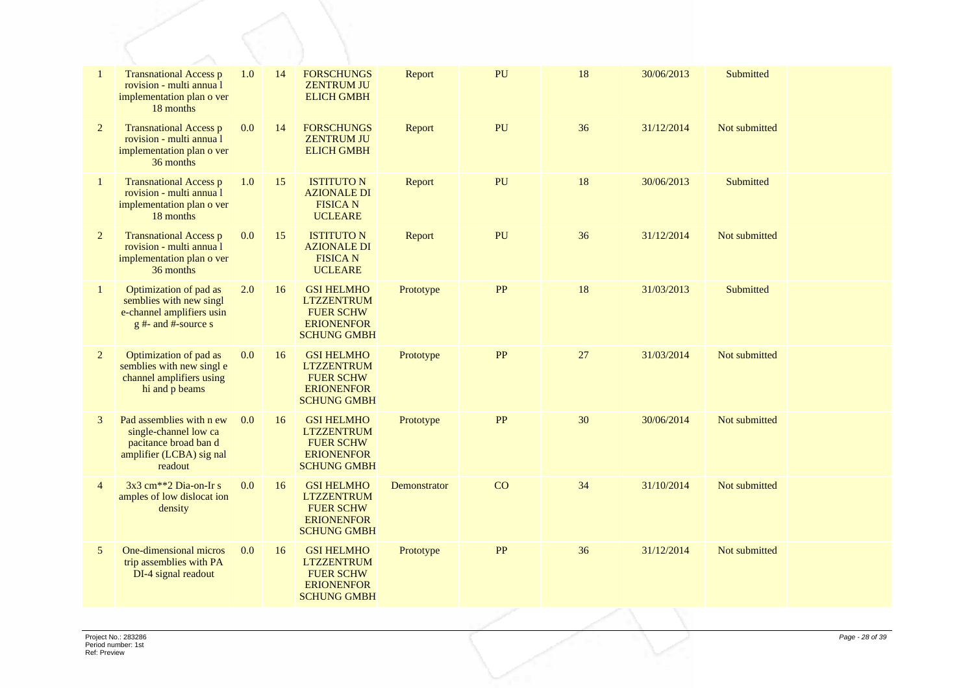| $\mathbf{1}$   | <b>Transnational Access p</b><br>rovision - multi annua l<br>implementation plan o ver<br>18 months               | 1.0 | 14 | <b>FORSCHUNGS</b><br><b>ZENTRUM JU</b><br><b>ELICH GMBH</b>                                           | Report       | PU        | 18 | 30/06/2013 | Submitted        |  |
|----------------|-------------------------------------------------------------------------------------------------------------------|-----|----|-------------------------------------------------------------------------------------------------------|--------------|-----------|----|------------|------------------|--|
| 2              | <b>Transnational Access p</b><br>rovision - multi annua l<br>implementation plan o ver<br>36 months               | 0.0 | 14 | <b>FORSCHUNGS</b><br><b>ZENTRUM JU</b><br><b>ELICH GMBH</b>                                           | Report       | PU        | 36 | 31/12/2014 | Not submitted    |  |
| $\mathbf{1}$   | <b>Transnational Access p</b><br>rovision - multi annua l<br>implementation plan o ver<br>18 months               | 1.0 | 15 | <b>ISTITUTO N</b><br><b>AZIONALE DI</b><br><b>FISICA N</b><br><b>UCLEARE</b>                          | Report       | PU        | 18 | 30/06/2013 | Submitted        |  |
| 2              | <b>Transnational Access p</b><br>rovision - multi annua l<br>implementation plan o ver<br>36 months               | 0.0 | 15 | <b>ISTITUTO N</b><br><b>AZIONALE DI</b><br><b>FISICA N</b><br><b>UCLEARE</b>                          | Report       | PU        | 36 | 31/12/2014 | Not submitted    |  |
| $\mathbf{1}$   | Optimization of pad as<br>semblies with new singl<br>e-channel amplifiers usin<br>$g$ #- and #-source s           | 2.0 | 16 | <b>GSI HELMHO</b><br><b>LTZZENTRUM</b><br><b>FUER SCHW</b><br><b>ERIONENFOR</b><br><b>SCHUNG GMBH</b> | Prototype    | <b>PP</b> | 18 | 31/03/2013 | <b>Submitted</b> |  |
| 2              | Optimization of pad as<br>semblies with new single<br>channel amplifiers using<br>hi and p beams                  | 0.0 | 16 | <b>GSI HELMHO</b><br><b>LTZZENTRUM</b><br><b>FUER SCHW</b><br><b>ERIONENFOR</b><br><b>SCHUNG GMBH</b> | Prototype    | <b>PP</b> | 27 | 31/03/2014 | Not submitted    |  |
| 3              | Pad assemblies with n ew<br>single-channel low ca<br>pacitance broad ban d<br>amplifier (LCBA) sig nal<br>readout | 0.0 | 16 | <b>GSI HELMHO</b><br><b>LTZZENTRUM</b><br><b>FUER SCHW</b><br><b>ERIONENFOR</b><br><b>SCHUNG GMBH</b> | Prototype    | PP        | 30 | 30/06/2014 | Not submitted    |  |
| $\overline{4}$ | 3x3 cm <sup>**</sup> 2 Dia-on-Ir s<br>amples of low dislocat ion<br>density                                       | 0.0 | 16 | <b>GSI HELMHO</b><br><b>LTZZENTRUM</b><br><b>FUER SCHW</b><br><b>ERIONENFOR</b><br><b>SCHUNG GMBH</b> | Demonstrator | CO        | 34 | 31/10/2014 | Not submitted    |  |
| 5              | One-dimensional micros<br>trip assemblies with PA<br>DI-4 signal readout                                          | 0.0 | 16 | <b>GSI HELMHO</b><br><b>LTZZENTRUM</b><br><b>FUER SCHW</b><br><b>ERIONENFOR</b><br><b>SCHUNG GMBH</b> | Prototype    | <b>PP</b> | 36 | 31/12/2014 | Not submitted    |  |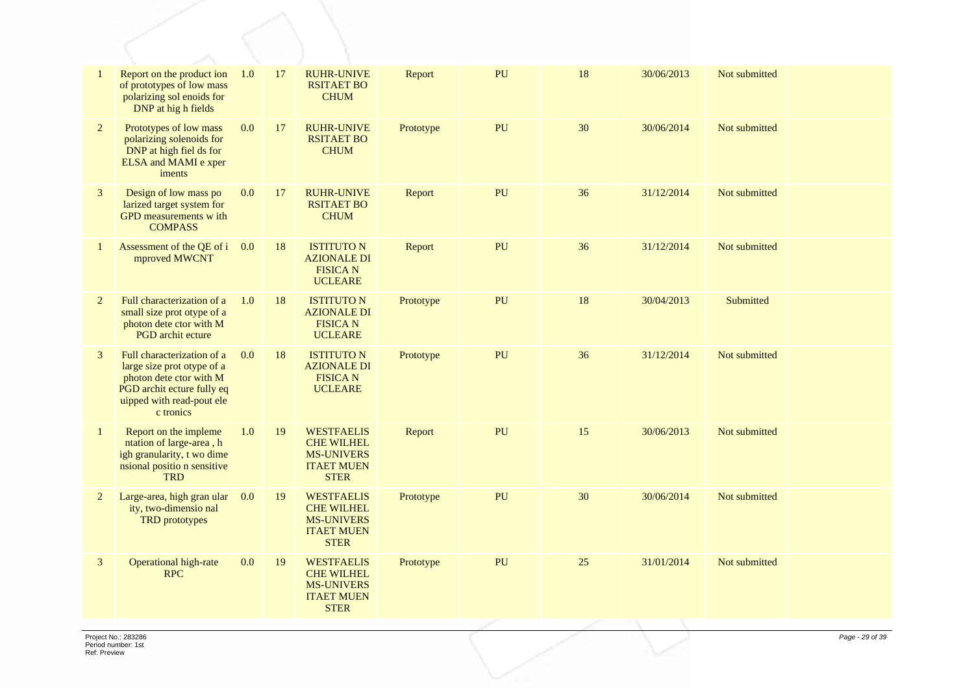| $\mathbf{1}$   | Report on the product ion<br>of prototypes of low mass<br>polarizing sol enoids for<br>DNP at high fields                                                   | 1.0 | 17 | <b>RUHR-UNIVE</b><br><b>RSITAET BO</b><br><b>CHUM</b>                                           | Report    | PU | 18 | 30/06/2013 | Not submitted |  |
|----------------|-------------------------------------------------------------------------------------------------------------------------------------------------------------|-----|----|-------------------------------------------------------------------------------------------------|-----------|----|----|------------|---------------|--|
| $\overline{2}$ | Prototypes of low mass<br>polarizing solenoids for<br>DNP at high fiel ds for<br><b>ELSA</b> and <b>MAMI</b> e xper<br>iments                               | 0.0 | 17 | <b>RUHR-UNIVE</b><br><b>RSITAET BO</b><br><b>CHUM</b>                                           | Prototype | PU | 30 | 30/06/2014 | Not submitted |  |
| 3              | Design of low mass po<br>larized target system for<br>GPD measurements w ith<br><b>COMPASS</b>                                                              | 0.0 | 17 | <b>RUHR-UNIVE</b><br><b>RSITAET BO</b><br><b>CHUM</b>                                           | Report    | PU | 36 | 31/12/2014 | Not submitted |  |
| 1              | Assessment of the QE of i<br>mproved MWCNT                                                                                                                  | 0.0 | 18 | <b>ISTITUTO N</b><br><b>AZIONALE DI</b><br><b>FISICA N</b><br><b>UCLEARE</b>                    | Report    | PU | 36 | 31/12/2014 | Not submitted |  |
| $\overline{2}$ | Full characterization of a<br>small size prot otype of a<br>photon dete ctor with M<br><b>PGD</b> archit ecture                                             | 1.0 | 18 | <b>ISTITUTO N</b><br><b>AZIONALE DI</b><br><b>FISICA N</b><br><b>UCLEARE</b>                    | Prototype | PU | 18 | 30/04/2013 | Submitted     |  |
| 3              | Full characterization of a<br>large size prot otype of a<br>photon dete ctor with M<br>PGD archit ecture fully eq<br>uipped with read-pout ele<br>c tronics | 0.0 | 18 | <b>ISTITUTO N</b><br><b>AZIONALE DI</b><br><b>FISICA N</b><br><b>UCLEARE</b>                    | Prototype | PU | 36 | 31/12/2014 | Not submitted |  |
| $\mathbf{1}$   | Report on the impleme<br>ntation of large-area, h<br>igh granularity, t wo dime<br>nsional positio n sensitive<br><b>TRD</b>                                | 1.0 | 19 | <b>WESTFAELIS</b><br><b>CHE WILHEL</b><br><b>MS-UNIVERS</b><br><b>ITAET MUEN</b><br><b>STER</b> | Report    | PU | 15 | 30/06/2013 | Not submitted |  |
| $\overline{2}$ | Large-area, high gran ular<br>ity, two-dimensio nal<br><b>TRD</b> prototypes                                                                                | 0.0 | 19 | <b>WESTFAELIS</b><br><b>CHE WILHEL</b><br><b>MS-UNIVERS</b><br><b>ITAET MUEN</b><br><b>STER</b> | Prototype | PU | 30 | 30/06/2014 | Not submitted |  |
| 3              | <b>Operational high-rate</b><br><b>RPC</b>                                                                                                                  | 0.0 | 19 | <b>WESTFAELIS</b><br><b>CHE WILHEL</b><br><b>MS-UNIVERS</b><br><b>ITAET MUEN</b><br><b>STER</b> | Prototype | PU | 25 | 31/01/2014 | Not submitted |  |
|                |                                                                                                                                                             |     |    |                                                                                                 |           |    |    |            |               |  |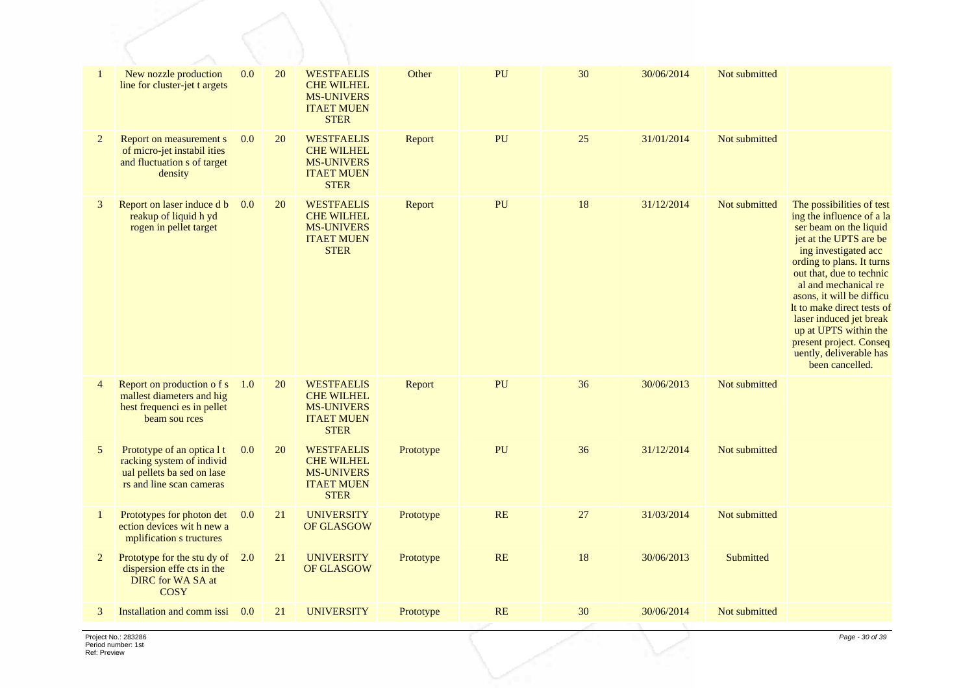| $\mathbf{1}$   | New nozzle production<br>line for cluster-jet t argets                                                            | 0.0 | 20 | <b>WESTFAELIS</b><br><b>CHE WILHEL</b><br><b>MS-UNIVERS</b><br><b>ITAET MUEN</b><br><b>STER</b> | Other     | PU | 30 | 30/06/2014 | Not submitted |                                                                                                                                                                                                                                                                                                                                                                                                             |
|----------------|-------------------------------------------------------------------------------------------------------------------|-----|----|-------------------------------------------------------------------------------------------------|-----------|----|----|------------|---------------|-------------------------------------------------------------------------------------------------------------------------------------------------------------------------------------------------------------------------------------------------------------------------------------------------------------------------------------------------------------------------------------------------------------|
| $\overline{2}$ | Report on measurement s<br>of micro-jet instabil ities<br>and fluctuation s of target<br>density                  | 0.0 | 20 | <b>WESTFAELIS</b><br><b>CHE WILHEL</b><br><b>MS-UNIVERS</b><br><b>ITAET MUEN</b><br><b>STER</b> | Report    | PU | 25 | 31/01/2014 | Not submitted |                                                                                                                                                                                                                                                                                                                                                                                                             |
| 3              | Report on laser induce d b<br>reakup of liquid h yd<br>rogen in pellet target                                     | 0.0 | 20 | <b>WESTFAELIS</b><br><b>CHE WILHEL</b><br><b>MS-UNIVERS</b><br><b>ITAET MUEN</b><br><b>STER</b> | Report    | PU | 18 | 31/12/2014 | Not submitted | The possibilities of test<br>ing the influence of a la<br>ser beam on the liquid<br>jet at the UPTS are be<br>ing investigated acc<br>ording to plans. It turns<br>out that, due to technic<br>al and mechanical re<br>asons, it will be difficu<br>It to make direct tests of<br>laser induced jet break<br>up at UPTS within the<br>present project. Conseq<br>uently, deliverable has<br>been cancelled. |
| $\overline{4}$ | Report on production of s<br>mallest diameters and hig<br>hest frequenci es in pellet<br>beam sou rces            | 1.0 | 20 | <b>WESTFAELIS</b><br><b>CHE WILHEL</b><br><b>MS-UNIVERS</b><br><b>ITAET MUEN</b><br><b>STER</b> | Report    | PU | 36 | 30/06/2013 | Not submitted |                                                                                                                                                                                                                                                                                                                                                                                                             |
| 5              | Prototype of an optica 1 t<br>racking system of individ<br>ual pellets ba sed on lase<br>rs and line scan cameras | 0.0 | 20 | <b>WESTFAELIS</b><br><b>CHE WILHEL</b><br><b>MS-UNIVERS</b><br><b>ITAET MUEN</b><br><b>STER</b> | Prototype | PU | 36 | 31/12/2014 | Not submitted |                                                                                                                                                                                                                                                                                                                                                                                                             |
| 1              | Prototypes for photon det<br>ection devices with new a<br>mplification s tructures                                | 0.0 | 21 | <b>UNIVERSITY</b><br>OF GLASGOW                                                                 | Prototype | RE | 27 | 31/03/2014 | Not submitted |                                                                                                                                                                                                                                                                                                                                                                                                             |
| 2              | Prototype for the stu dy of $2.0$<br>dispersion effe cts in the<br><b>DIRC</b> for WA SA at<br><b>COSY</b>        |     | 21 | <b>UNIVERSITY</b><br>OF GLASGOW                                                                 | Prototype | RE | 18 | 30/06/2013 | Submitted     |                                                                                                                                                                                                                                                                                                                                                                                                             |
| 3              | Installation and comm issi                                                                                        | 0.0 | 21 | <b>UNIVERSITY</b>                                                                               | Prototype | RE | 30 | 30/06/2014 | Not submitted |                                                                                                                                                                                                                                                                                                                                                                                                             |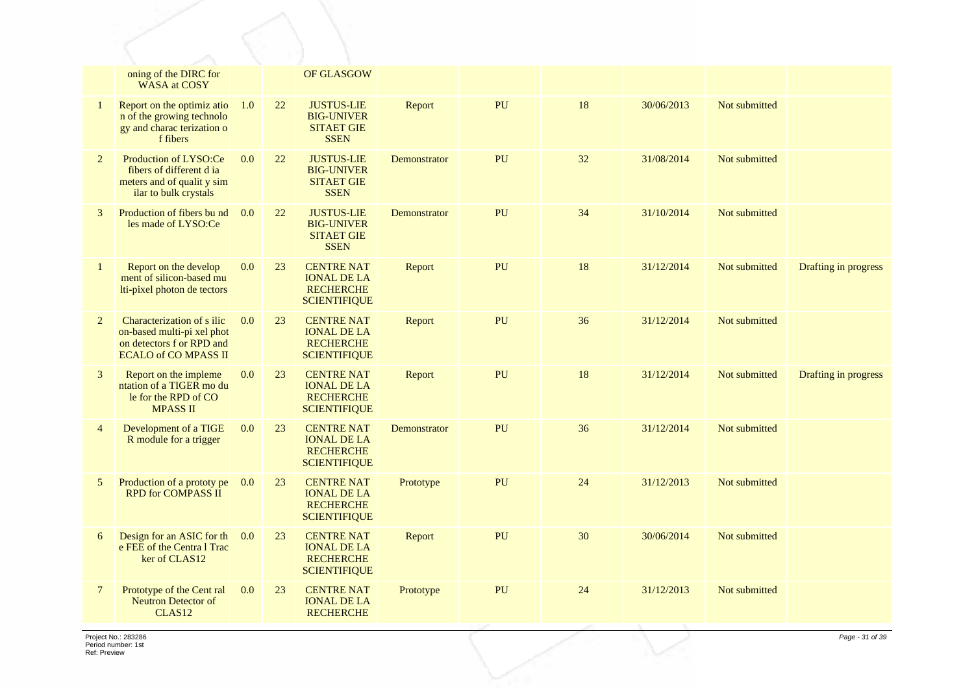|                | oning of the DIRC for<br><b>WASA</b> at COSY                                                                         |     |        | OF GLASGOW                                                                         |              |    |    |            |               |                      |
|----------------|----------------------------------------------------------------------------------------------------------------------|-----|--------|------------------------------------------------------------------------------------|--------------|----|----|------------|---------------|----------------------|
| -1             | Report on the optimiz atio<br>n of the growing technolo<br>gy and charac terization o<br>f fibers                    | 1.0 | 22     | <b>JUSTUS-LIE</b><br><b>BIG-UNIVER</b><br><b>SITAET GIE</b><br><b>SSEN</b>         | Report       | PU | 18 | 30/06/2013 | Not submitted |                      |
| $\overline{2}$ | Production of LYSO:Ce<br>fibers of different d ia<br>meters and of qualit y sim<br>ilar to bulk crystals             | 0.0 | 22     | <b>JUSTUS-LIE</b><br><b>BIG-UNIVER</b><br><b>SITAET GIE</b><br><b>SSEN</b>         | Demonstrator | PU | 32 | 31/08/2014 | Not submitted |                      |
| 3              | Production of fibers bund<br>les made of LYSO:Ce                                                                     | 0.0 | $22\,$ | <b>JUSTUS-LIE</b><br><b>BIG-UNIVER</b><br><b>SITAET GIE</b><br><b>SSEN</b>         | Demonstrator | PU | 34 | 31/10/2014 | Not submitted |                      |
| $\mathbf{1}$   | Report on the develop<br>ment of silicon-based mu<br>lti-pixel photon de tectors                                     | 0.0 | 23     | <b>CENTRE NAT</b><br><b>IONAL DE LA</b><br><b>RECHERCHE</b><br><b>SCIENTIFIQUE</b> | Report       | PU | 18 | 31/12/2014 | Not submitted | Drafting in progress |
| 2              | Characterization of s ilic<br>on-based multi-pi xel phot<br>on detectors f or RPD and<br><b>ECALO of CO MPASS II</b> | 0.0 | 23     | <b>CENTRE NAT</b><br><b>IONAL DE LA</b><br><b>RECHERCHE</b><br><b>SCIENTIFIQUE</b> | Report       | PU | 36 | 31/12/2014 | Not submitted |                      |
| 3              | Report on the impleme<br>ntation of a TIGER mo du<br>le for the RPD of CO<br><b>MPASS II</b>                         | 0.0 | 23     | <b>CENTRE NAT</b><br><b>IONAL DE LA</b><br><b>RECHERCHE</b><br><b>SCIENTIFIQUE</b> | Report       | PU | 18 | 31/12/2014 | Not submitted | Drafting in progress |
| $\overline{4}$ | Development of a TIGE<br>R module for a trigger                                                                      | 0.0 | 23     | <b>CENTRE NAT</b><br><b>IONAL DE LA</b><br><b>RECHERCHE</b><br><b>SCIENTIFIQUE</b> | Demonstrator | PU | 36 | 31/12/2014 | Not submitted |                      |
| 5              | Production of a prototy pe<br><b>RPD for COMPASS II</b>                                                              | 0.0 | 23     | <b>CENTRE NAT</b><br><b>IONAL DE LA</b><br><b>RECHERCHE</b><br><b>SCIENTIFIQUE</b> | Prototype    | PU | 24 | 31/12/2013 | Not submitted |                      |
| 6              | Design for an ASIC for th<br>e FEE of the Centra l Trac<br>ker of CLAS12                                             | 0.0 | 23     | <b>CENTRE NAT</b><br><b>IONAL DE LA</b><br><b>RECHERCHE</b><br><b>SCIENTIFIQUE</b> | Report       | PU | 30 | 30/06/2014 | Not submitted |                      |
| $\overline{7}$ | Prototype of the Cent ral<br><b>Neutron Detector of</b><br>CLAS <sub>12</sub>                                        | 0.0 | 23     | <b>CENTRE NAT</b><br><b>IONAL DE LA</b><br><b>RECHERCHE</b>                        | Prototype    | PU | 24 | 31/12/2013 | Not submitted |                      |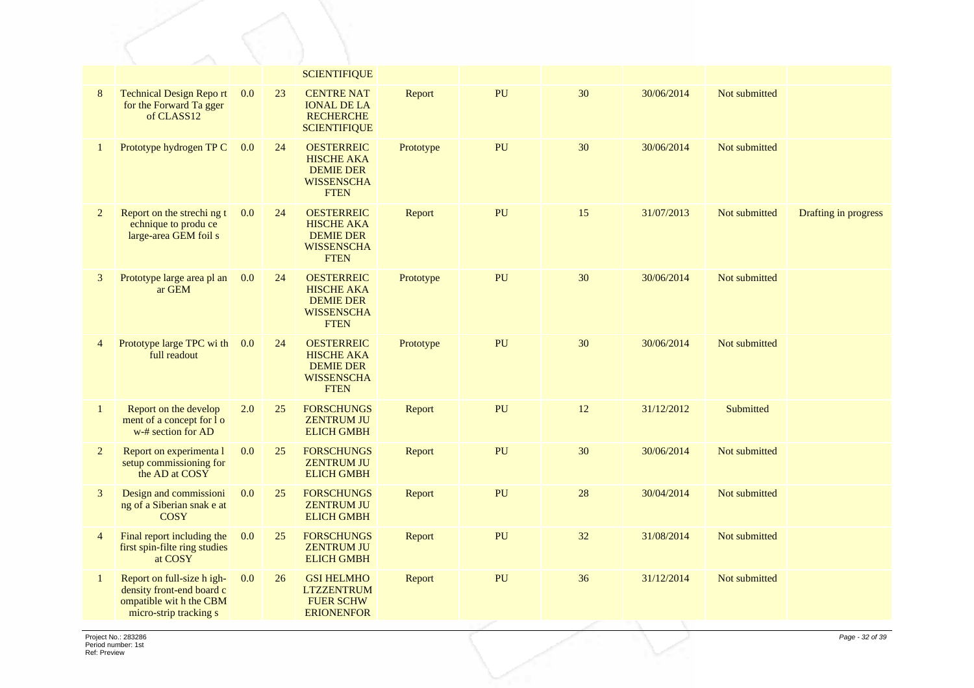|                |                                                                                                             |     |    | <b>SCIENTIFIQUE</b>                                                                            |           |                  |    |            |               |                      |
|----------------|-------------------------------------------------------------------------------------------------------------|-----|----|------------------------------------------------------------------------------------------------|-----------|------------------|----|------------|---------------|----------------------|
| $8\phantom{.}$ | <b>Technical Design Report</b><br>for the Forward Ta gger<br>of CLASS12                                     | 0.0 | 23 | <b>CENTRE NAT</b><br><b>IONAL DE LA</b><br><b>RECHERCHE</b><br><b>SCIENTIFIQUE</b>             | Report    | PU               | 30 | 30/06/2014 | Not submitted |                      |
| $\mathbf 1$    | Prototype hydrogen TP C                                                                                     | 0.0 | 24 | <b>OESTERREIC</b><br><b>HISCHE AKA</b><br><b>DEMIE DER</b><br><b>WISSENSCHA</b><br><b>FTEN</b> | Prototype | PU               | 30 | 30/06/2014 | Not submitted |                      |
| $\overline{2}$ | Report on the strechi ng t<br>echnique to produ ce<br>large-area GEM foil s                                 | 0.0 | 24 | <b>OESTERREIC</b><br><b>HISCHE AKA</b><br><b>DEMIE DER</b><br><b>WISSENSCHA</b><br><b>FTEN</b> | Report    | PU               | 15 | 31/07/2013 | Not submitted | Drafting in progress |
| 3              | Prototype large area pl an<br>ar GEM                                                                        | 0.0 | 24 | <b>OESTERREIC</b><br><b>HISCHE AKA</b><br><b>DEMIE DER</b><br><b>WISSENSCHA</b><br><b>FTEN</b> | Prototype | PU               | 30 | 30/06/2014 | Not submitted |                      |
| $\overline{4}$ | Prototype large TPC wi th<br>full readout                                                                   | 0.0 | 24 | <b>OESTERREIC</b><br><b>HISCHE AKA</b><br><b>DEMIE DER</b><br><b>WISSENSCHA</b><br><b>FTEN</b> | Prototype | PU               | 30 | 30/06/2014 | Not submitted |                      |
| $\mathbf{1}$   | Report on the develop<br>ment of a concept for $\overline{1}$ o<br>w-# section for AD                       | 2.0 | 25 | <b>FORSCHUNGS</b><br><b>ZENTRUM JU</b><br><b>ELICH GMBH</b>                                    | Report    | PU               | 12 | 31/12/2012 | Submitted     |                      |
| $\overline{2}$ | Report on experimenta l<br>setup commissioning for<br>the AD at COSY                                        | 0.0 | 25 | <b>FORSCHUNGS</b><br><b>ZENTRUM JU</b><br><b>ELICH GMBH</b>                                    | Report    | PU               | 30 | 30/06/2014 | Not submitted |                      |
| 3              | Design and commissioni<br>ng of a Siberian snak e at<br><b>COSY</b>                                         | 0.0 | 25 | <b>FORSCHUNGS</b><br><b>ZENTRUM JU</b><br><b>ELICH GMBH</b>                                    | Report    | PU               | 28 | 30/04/2014 | Not submitted |                      |
| $\overline{4}$ | Final report including the<br>first spin-filte ring studies<br>at COSY                                      | 0.0 | 25 | <b>FORSCHUNGS</b><br><b>ZENTRUM JU</b><br><b>ELICH GMBH</b>                                    | Report    | PU               | 32 | 31/08/2014 | Not submitted |                      |
| $\mathbf{1}$   | Report on full-size h igh-<br>density front-end board c<br>ompatible with the CBM<br>micro-strip tracking s | 0.0 | 26 | <b>GSI HELMHO</b><br><b>LTZZENTRUM</b><br><b>FUER SCHW</b><br><b>ERIONENFOR</b>                | Report    | ${\bf P}{\bf U}$ | 36 | 31/12/2014 | Not submitted |                      |
|                |                                                                                                             |     |    |                                                                                                |           |                  |    |            |               |                      |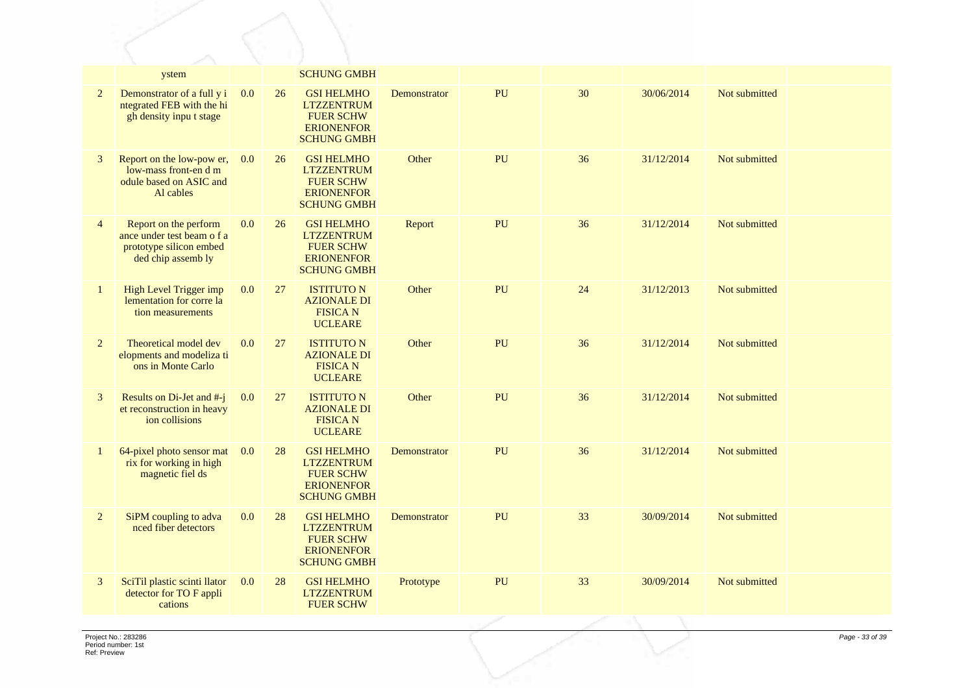|                | ystem                                                                                                |     |    | <b>SCHUNG GMBH</b>                                                                                    |              |    |    |            |               |  |
|----------------|------------------------------------------------------------------------------------------------------|-----|----|-------------------------------------------------------------------------------------------------------|--------------|----|----|------------|---------------|--|
| $\overline{2}$ | Demonstrator of a full y i<br>ntegrated FEB with the hi<br>gh density input stage                    | 0.0 | 26 | <b>GSI HELMHO</b><br><b>LTZZENTRUM</b><br><b>FUER SCHW</b><br><b>ERIONENFOR</b><br><b>SCHUNG GMBH</b> | Demonstrator | PU | 30 | 30/06/2014 | Not submitted |  |
| 3              | Report on the low-pow er,<br>low-mass front-en d m<br>odule based on ASIC and<br>Al cables           | 0.0 | 26 | <b>GSI HELMHO</b><br><b>LTZZENTRUM</b><br><b>FUER SCHW</b><br><b>ERIONENFOR</b><br><b>SCHUNG GMBH</b> | Other        | PU | 36 | 31/12/2014 | Not submitted |  |
| $\overline{4}$ | Report on the perform<br>ance under test beam o f a<br>prototype silicon embed<br>ded chip assemb ly | 0.0 | 26 | <b>GSI HELMHO</b><br><b>LTZZENTRUM</b><br><b>FUER SCHW</b><br><b>ERIONENFOR</b><br><b>SCHUNG GMBH</b> | Report       | PU | 36 | 31/12/2014 | Not submitted |  |
| $\mathbf{1}$   | High Level Trigger imp<br>lementation for corre la<br>tion measurements                              | 0.0 | 27 | <b>ISTITUTO N</b><br><b>AZIONALE DI</b><br><b>FISICAN</b><br><b>UCLEARE</b>                           | Other        | PU | 24 | 31/12/2013 | Not submitted |  |
| $\overline{2}$ | Theoretical model dev<br>elopments and modeliza ti<br>ons in Monte Carlo                             | 0.0 | 27 | <b>ISTITUTO N</b><br><b>AZIONALE DI</b><br><b>FISICA N</b><br><b>UCLEARE</b>                          | Other        | PU | 36 | 31/12/2014 | Not submitted |  |
| 3              | Results on Di-Jet and #-j<br>et reconstruction in heavy<br>ion collisions                            | 0.0 | 27 | <b>ISTITUTO N</b><br><b>AZIONALE DI</b><br><b>FISICAN</b><br><b>UCLEARE</b>                           | Other        | PU | 36 | 31/12/2014 | Not submitted |  |
| 1              | 64-pixel photo sensor mat<br>rix for working in high<br>magnetic fiel ds                             | 0.0 | 28 | <b>GSI HELMHO</b><br><b>LTZZENTRUM</b><br><b>FUER SCHW</b><br><b>ERIONENFOR</b><br><b>SCHUNG GMBH</b> | Demonstrator | PU | 36 | 31/12/2014 | Not submitted |  |
| $\overline{2}$ | SiPM coupling to adva<br>nced fiber detectors                                                        | 0.0 | 28 | <b>GSI HELMHO</b><br><b>LTZZENTRUM</b><br><b>FUER SCHW</b><br><b>ERIONENFOR</b><br><b>SCHUNG GMBH</b> | Demonstrator | PU | 33 | 30/09/2014 | Not submitted |  |
| 3              | SciTil plastic scinti llator<br>detector for TO F appli<br>cations                                   | 0.0 | 28 | <b>GSI HELMHO</b><br><b>LTZZENTRUM</b><br><b>FUER SCHW</b>                                            | Prototype    | PU | 33 | 30/09/2014 | Not submitted |  |
|                |                                                                                                      |     |    |                                                                                                       |              |    |    |            |               |  |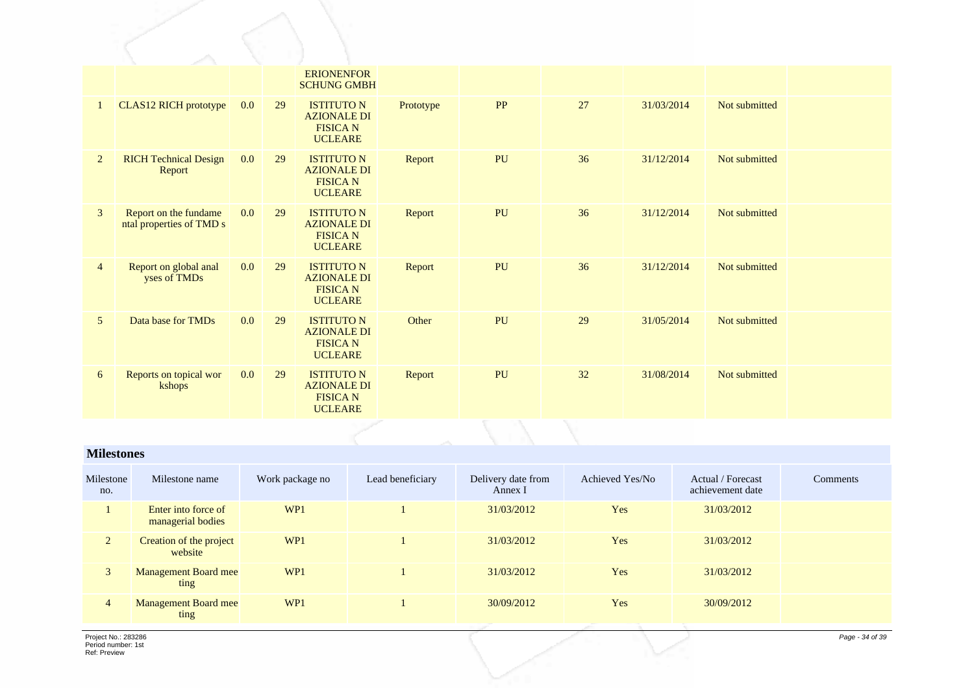|                |                                                   |     |    | <b>ERIONENFOR</b><br><b>SCHUNG GMBH</b>                                      |           |    |    |            |               |  |
|----------------|---------------------------------------------------|-----|----|------------------------------------------------------------------------------|-----------|----|----|------------|---------------|--|
|                | CLAS12 RICH prototype                             | 0.0 | 29 | <b>ISTITUTO N</b><br><b>AZIONALE DI</b><br><b>FISICA N</b><br><b>UCLEARE</b> | Prototype | PP | 27 | 31/03/2014 | Not submitted |  |
| $\overline{2}$ | <b>RICH Technical Design</b><br>Report            | 0.0 | 29 | <b>ISTITUTO N</b><br><b>AZIONALE DI</b><br><b>FISICA N</b><br><b>UCLEARE</b> | Report    | PU | 36 | 31/12/2014 | Not submitted |  |
| 3              | Report on the fundame<br>ntal properties of TMD s | 0.0 | 29 | <b>ISTITUTO N</b><br><b>AZIONALE DI</b><br><b>FISICA N</b><br><b>UCLEARE</b> | Report    | PU | 36 | 31/12/2014 | Not submitted |  |
| $\overline{4}$ | Report on global anal<br>yses of TMDs             | 0.0 | 29 | <b>ISTITUTO N</b><br><b>AZIONALE DI</b><br><b>FISICA N</b><br><b>UCLEARE</b> | Report    | PU | 36 | 31/12/2014 | Not submitted |  |
| 5              | Data base for TMDs                                | 0.0 | 29 | <b>ISTITUTO N</b><br><b>AZIONALE DI</b><br><b>FISICA N</b><br><b>UCLEARE</b> | Other     | PU | 29 | 31/05/2014 | Not submitted |  |
| 6              | Reports on topical wor<br>kshops                  | 0.0 | 29 | <b>ISTITUTO N</b><br><b>AZIONALE DI</b><br><b>FISICA N</b><br><b>UCLEARE</b> | Report    | PU | 32 | 31/08/2014 | Not submitted |  |

#### **Milestones**

| Milestone<br>no. | Milestone name                           | Work package no | Lead beneficiary | Delivery date from<br>Annex I | Achieved Yes/No | Actual / Forecast<br>achievement date | Comments |
|------------------|------------------------------------------|-----------------|------------------|-------------------------------|-----------------|---------------------------------------|----------|
|                  | Enter into force of<br>managerial bodies | WP1             |                  | 31/03/2012                    | Yes             | 31/03/2012                            |          |
| $\overline{2}$   | Creation of the project<br>website       | WP1             |                  | 31/03/2012                    | Yes             | 31/03/2012                            |          |
| 3                | <b>Management Board mee</b><br>ting      | WP1             |                  | 31/03/2012                    | Yes             | 31/03/2012                            |          |
| $\overline{4}$   | <b>Management Board mee</b><br>ting      | WP <sub>1</sub> |                  | 30/09/2012                    | Yes             | 30/09/2012                            |          |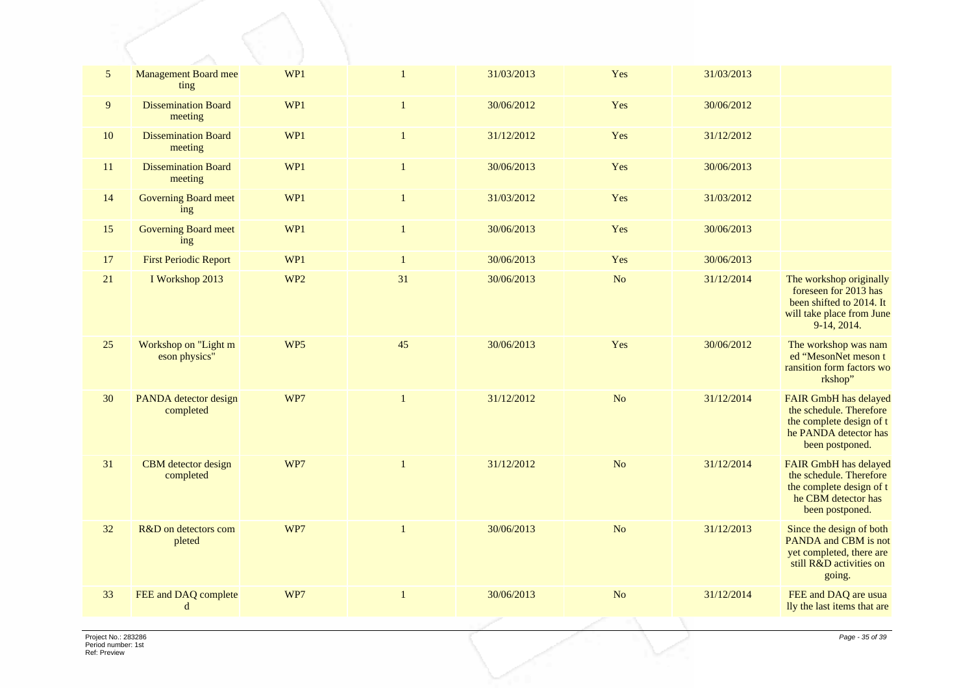| $\mathfrak{S}$ | <b>Management Board mee</b><br>ting   | WP1             | $\mathbf{1}$ | 31/03/2013 | Yes            | 31/03/2013 |                                                                                                                                 |
|----------------|---------------------------------------|-----------------|--------------|------------|----------------|------------|---------------------------------------------------------------------------------------------------------------------------------|
| 9              | <b>Dissemination Board</b><br>meeting | WP1             | $\mathbf{1}$ | 30/06/2012 | Yes            | 30/06/2012 |                                                                                                                                 |
| 10             | <b>Dissemination Board</b><br>meeting | WP1             | $\mathbf{1}$ | 31/12/2012 | Yes            | 31/12/2012 |                                                                                                                                 |
| 11             | <b>Dissemination Board</b><br>meeting | WP1             | $\mathbf{1}$ | 30/06/2013 | Yes            | 30/06/2013 |                                                                                                                                 |
| 14             | <b>Governing Board meet</b><br>ing    | WP1             | $\mathbf{1}$ | 31/03/2012 | Yes            | 31/03/2012 |                                                                                                                                 |
| 15             | <b>Governing Board meet</b><br>ing    | WP1             | $\mathbf{1}$ | 30/06/2013 | Yes            | 30/06/2013 |                                                                                                                                 |
| 17             | <b>First Periodic Report</b>          | WP1             | $\mathbf{1}$ | 30/06/2013 | Yes            | 30/06/2013 |                                                                                                                                 |
| 21             | I Workshop 2013                       | WP <sub>2</sub> | 31           | 30/06/2013 | N <sub>o</sub> | 31/12/2014 | The workshop originally<br>foreseen for 2013 has<br>been shifted to 2014. It<br>will take place from June<br>$9-14, 2014.$      |
| 25             | Workshop on "Light m<br>eson physics" | WP <sub>5</sub> | 45           | 30/06/2013 | Yes            | 30/06/2012 | The workshop was nam<br>ed "MesonNet meson t<br>ransition form factors wo<br>rkshop"                                            |
| 30             | PANDA detector design<br>completed    | WP7             | 1            | 31/12/2012 | N <sub>o</sub> | 31/12/2014 | <b>FAIR GmbH</b> has delayed<br>the schedule. Therefore<br>the complete design of t<br>he PANDA detector has<br>been postponed. |
| 31             | CBM detector design<br>completed      | WP7             | $\mathbf{1}$ | 31/12/2012 | N <sub>o</sub> | 31/12/2014 | FAIR GmbH has delayed<br>the schedule. Therefore<br>the complete design of t<br>he CBM detector has<br>been postponed.          |
| 32             | R&D on detectors com<br>pleted        | WP7             | $\mathbf{1}$ | 30/06/2013 | No             | 31/12/2013 | Since the design of both<br>PANDA and CBM is not<br>yet completed, there are<br>still R&D activities on<br>going.               |
| 33             | FEE and DAQ complete<br>d             | WP7             |              | 30/06/2013 | No             | 31/12/2014 | FEE and DAQ are usua<br>lly the last items that are                                                                             |
|                |                                       |                 |              |            |                |            |                                                                                                                                 |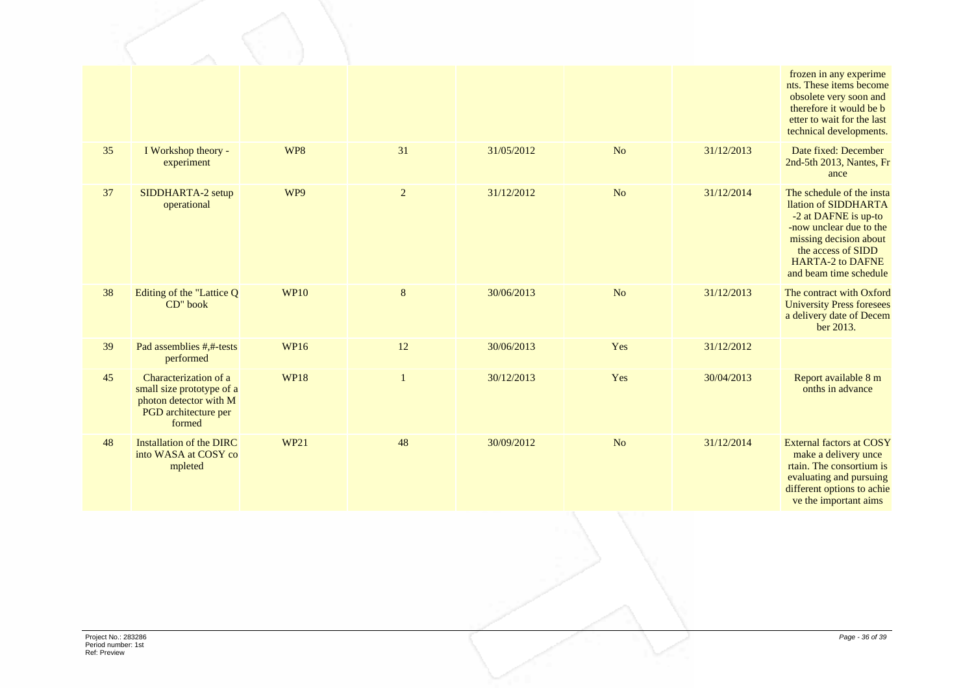|    |                                                                                                                |             |              |            |                |            | frozen in any experime<br>nts. These items become<br>obsolete very soon and<br>therefore it would be b<br>etter to wait for the last<br>technical developments.                                           |
|----|----------------------------------------------------------------------------------------------------------------|-------------|--------------|------------|----------------|------------|-----------------------------------------------------------------------------------------------------------------------------------------------------------------------------------------------------------|
| 35 | I Workshop theory -<br>experiment                                                                              | WP8         | 31           | 31/05/2012 | N <sub>o</sub> | 31/12/2013 | Date fixed: December<br>2nd-5th 2013, Nantes, Fr<br>ance                                                                                                                                                  |
| 37 | SIDDHARTA-2 setup<br>operational                                                                               | WP9         | $\sqrt{2}$   | 31/12/2012 | N <sub>o</sub> | 31/12/2014 | The schedule of the insta<br>llation of SIDDHARTA<br>-2 at DAFNE is up-to<br>-now unclear due to the<br>missing decision about<br>the access of SIDD<br><b>HARTA-2 to DAFNE</b><br>and beam time schedule |
| 38 | Editing of the "Lattice Q<br>CD" book                                                                          | <b>WP10</b> | $\bf 8$      | 30/06/2013 | N <sub>o</sub> | 31/12/2013 | The contract with Oxford<br><b>University Press foresees</b><br>a delivery date of Decem<br>ber 2013.                                                                                                     |
| 39 | Pad assemblies #,#-tests<br>performed                                                                          | <b>WP16</b> | 12           | 30/06/2013 | Yes            | 31/12/2012 |                                                                                                                                                                                                           |
| 45 | Characterization of a<br>small size prototype of a<br>photon detector with M<br>PGD architecture per<br>formed | <b>WP18</b> | $\mathbf{1}$ | 30/12/2013 | Yes            | 30/04/2013 | Report available 8 m<br>onths in advance                                                                                                                                                                  |
| 48 | Installation of the DIRC<br>into WASA at COSY co<br>mpleted                                                    | <b>WP21</b> | 48           | 30/09/2012 | N <sub>o</sub> | 31/12/2014 | <b>External factors at COSY</b><br>make a delivery unce<br>rtain. The consortium is<br>evaluating and pursuing<br>different options to achie<br>ve the important aims                                     |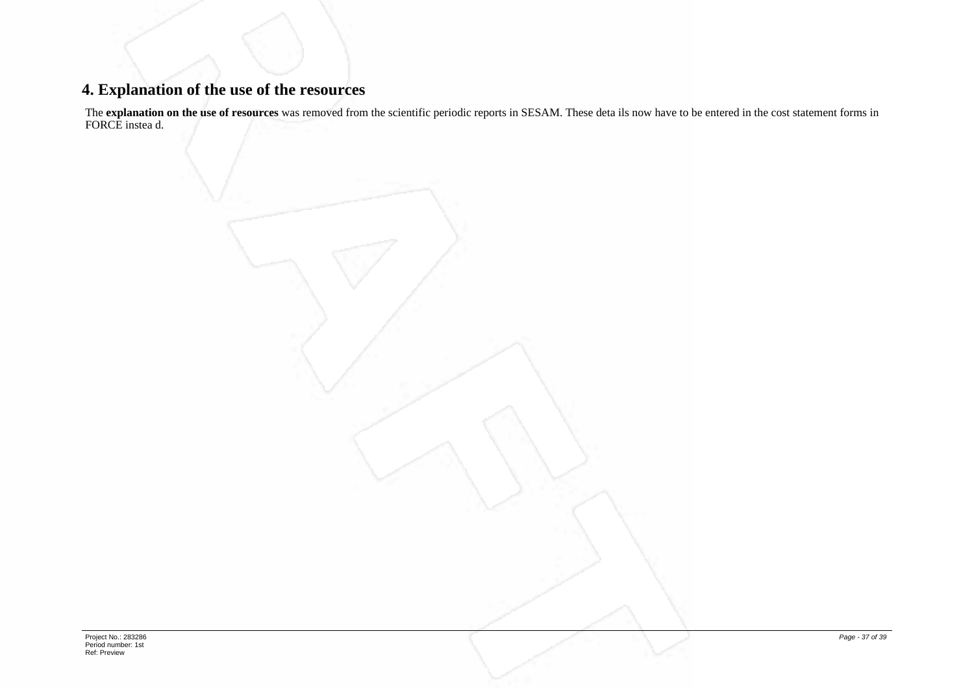# **4. Explanation of the use of the resources**

The **explanation on the use of resources** was removed from the scientific periodic reports in SESAM. These deta ils now have to be entered in the cost statement forms in FORCE instea d.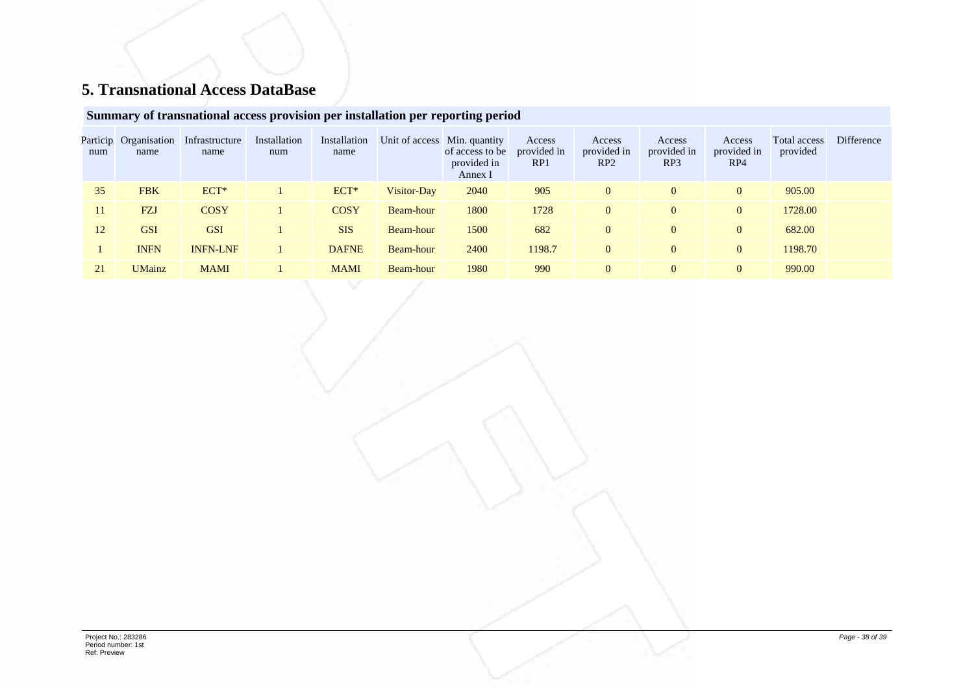# **5. Transnational Access DataBase**

## **Summary of transnational access provision per installation per reporting period**

| Particip<br>num | Organisation<br>name | Infrastructure<br>name | Installation<br>num | Installation<br>name |             | Unit of access Min. quantity<br>of access to be<br>provided in<br>Annex I | Access<br>provided in<br>RP <sub>1</sub> | Access<br>provided in<br>RP2 | Access<br>provided in<br>RP3 | Access<br>provided in<br>RP4 | Total access<br>provided | Difference |
|-----------------|----------------------|------------------------|---------------------|----------------------|-------------|---------------------------------------------------------------------------|------------------------------------------|------------------------------|------------------------------|------------------------------|--------------------------|------------|
| 35              | <b>FBK</b>           | $ECT*$                 |                     | ECT*                 | Visitor-Day | 2040                                                                      | 905                                      | $\theta$                     | $\Omega$                     | $\overline{0}$               | 905.00                   |            |
| 11              | <b>FZJ</b>           | <b>COSY</b>            |                     | <b>COSY</b>          | Beam-hour   | 1800                                                                      | 1728                                     | $\mathbf{0}$                 | $\overline{0}$               | $\overline{0}$               | 1728.00                  |            |
| 12              | <b>GSI</b>           | <b>GSI</b>             |                     | <b>SIS</b>           | Beam-hour   | 1500                                                                      | 682                                      | $\Omega$                     | $\overline{0}$               | $\overline{0}$               | 682.00                   |            |
|                 | <b>INFN</b>          | <b>INFN-LNF</b>        |                     | <b>DAFNE</b>         | Beam-hour   | 2400                                                                      | 1198.7                                   | $\mathbf{0}$                 | $\overline{0}$               | $\overline{0}$               | 1198.70                  |            |
| 21              | <b>UMainz</b>        | <b>MAMI</b>            |                     | <b>MAMI</b>          | Beam-hour   | 1980                                                                      | 990                                      | $\mathbf{0}$                 | $\overline{0}$               | $\overline{0}$               | 990.00                   |            |